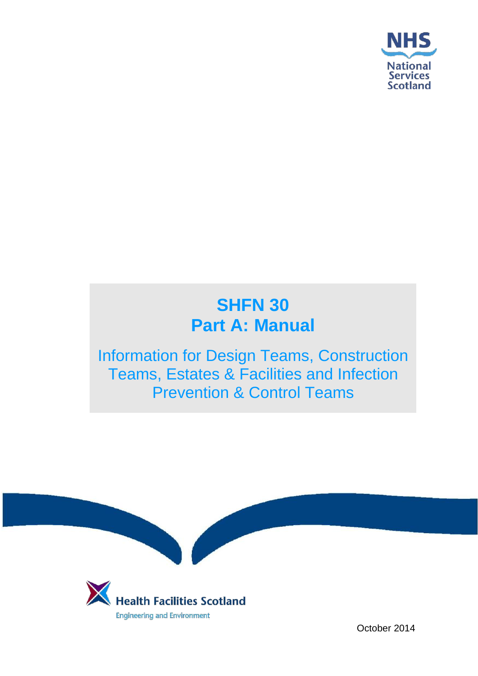

# **SHFN 30 Part A: Manual**

Information for Design Teams, Construction Teams, Estates & Facilities and Infection Prevention & Control Teams



October 2014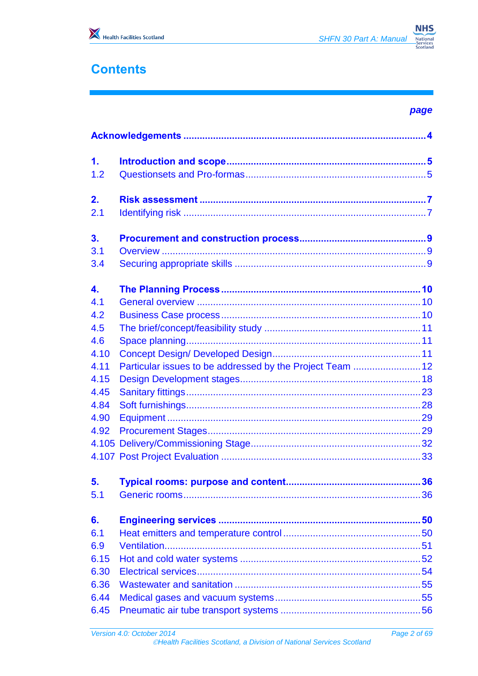

# **Contents**

| __<br>$\sim$<br>v<br>۰. |
|-------------------------|
|-------------------------|

| $\mathbf{1}$ . |                                                           |    |  |  |  |  |  |  |
|----------------|-----------------------------------------------------------|----|--|--|--|--|--|--|
| 1.2            |                                                           |    |  |  |  |  |  |  |
| 2.             |                                                           |    |  |  |  |  |  |  |
| 2.1            |                                                           |    |  |  |  |  |  |  |
| 3 <sub>1</sub> |                                                           |    |  |  |  |  |  |  |
| 3.1            |                                                           |    |  |  |  |  |  |  |
| 3.4            |                                                           |    |  |  |  |  |  |  |
| 4.             |                                                           |    |  |  |  |  |  |  |
| 4.1            |                                                           |    |  |  |  |  |  |  |
| 4.2            |                                                           |    |  |  |  |  |  |  |
| 4.5            |                                                           |    |  |  |  |  |  |  |
| 4.6            |                                                           |    |  |  |  |  |  |  |
| 4.10           |                                                           |    |  |  |  |  |  |  |
| 4.11           | Particular issues to be addressed by the Project Team  12 |    |  |  |  |  |  |  |
| 4.15<br>4.45   |                                                           |    |  |  |  |  |  |  |
| 4.84           |                                                           |    |  |  |  |  |  |  |
| 4.90           |                                                           |    |  |  |  |  |  |  |
| 4.92           |                                                           |    |  |  |  |  |  |  |
|                |                                                           |    |  |  |  |  |  |  |
|                |                                                           |    |  |  |  |  |  |  |
| 5.             |                                                           | 36 |  |  |  |  |  |  |
| 5.1            |                                                           |    |  |  |  |  |  |  |
|                |                                                           |    |  |  |  |  |  |  |
| 6.             |                                                           |    |  |  |  |  |  |  |
| 6.1            |                                                           |    |  |  |  |  |  |  |
| 6.9            |                                                           |    |  |  |  |  |  |  |
| 6.15           |                                                           |    |  |  |  |  |  |  |
| 6.30           |                                                           |    |  |  |  |  |  |  |
| 6.36           |                                                           |    |  |  |  |  |  |  |
| 6.44           |                                                           |    |  |  |  |  |  |  |
| 6.45           |                                                           |    |  |  |  |  |  |  |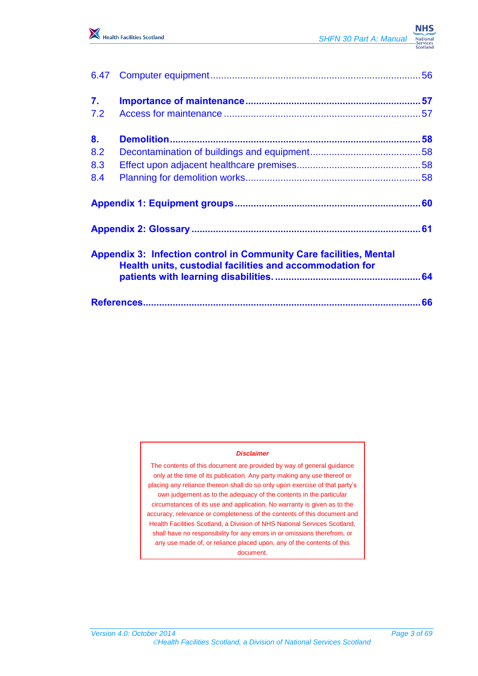

| 6.47           |                                                                                                                                       |  |
|----------------|---------------------------------------------------------------------------------------------------------------------------------------|--|
| 7.             |                                                                                                                                       |  |
| 7.2            |                                                                                                                                       |  |
| 8 <sub>1</sub> |                                                                                                                                       |  |
| 8.2            |                                                                                                                                       |  |
| 8.3            |                                                                                                                                       |  |
| 8.4            |                                                                                                                                       |  |
|                |                                                                                                                                       |  |
|                |                                                                                                                                       |  |
|                | <b>Appendix 3: Infection control in Community Care facilities, Mental</b><br>Health units, custodial facilities and accommodation for |  |
|                |                                                                                                                                       |  |
|                |                                                                                                                                       |  |

#### *Disclaimer*

The contents of this document are provided by way of general guidance only at the time of its publication. Any party making any use thereof or placing any reliance thereon shall do so only upon exercise of that party's own judgement as to the adequacy of the contents in the particular circumstances of its use and application. No warranty is given as to the accuracy, relevance or completeness of the contents of this document and Health Facilities Scotland, a Division of NHS National Services Scotland, shall have no responsibility for any errors in or omissions therefrom, or any use made of, or reliance placed upon, any of the contents of this document.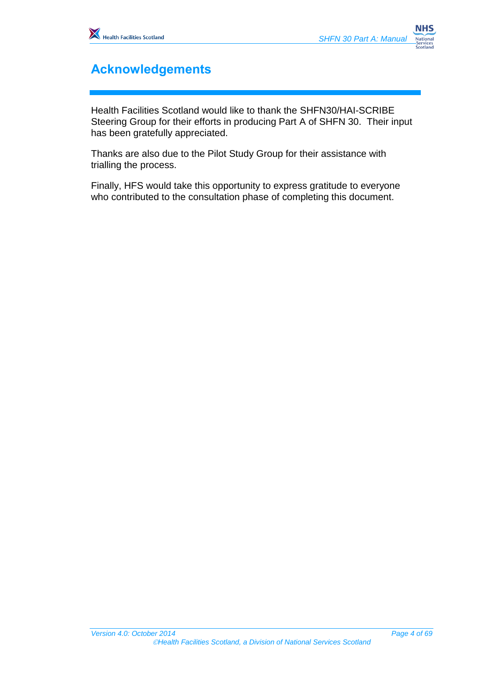

# <span id="page-3-0"></span>**Acknowledgements**

Health Facilities Scotland would like to thank the SHFN30/HAI-SCRIBE Steering Group for their efforts in producing Part A of SHFN 30. Their input has been gratefully appreciated.

Thanks are also due to the Pilot Study Group for their assistance with trialling the process.

Finally, HFS would take this opportunity to express gratitude to everyone who contributed to the consultation phase of completing this document.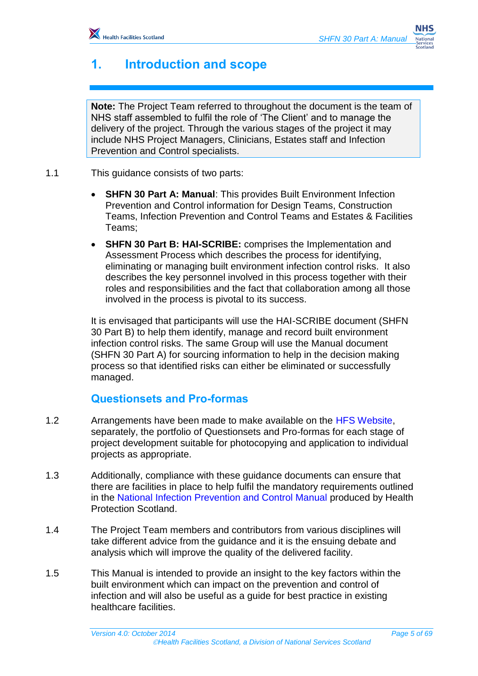# <span id="page-4-0"></span>**1. Introduction and scope**

**Note:** The Project Team referred to throughout the document is the team of NHS staff assembled to fulfil the role of 'The Client' and to manage the delivery of the project. Through the various stages of the project it may include NHS Project Managers, Clinicians, Estates staff and Infection Prevention and Control specialists.

- 1.1 This guidance consists of two parts:
	- **SHFN 30 Part A: Manual**: This provides Built Environment Infection Prevention and Control information for Design Teams, Construction Teams, Infection Prevention and Control Teams and Estates & Facilities Teams;
	- **SHFN 30 Part B: HAI-SCRIBE:** comprises the Implementation and Assessment Process which describes the process for identifying, eliminating or managing built environment infection control risks. It also describes the key personnel involved in this process together with their roles and responsibilities and the fact that collaboration among all those involved in the process is pivotal to its success.

It is envisaged that participants will use the HAI-SCRIBE document (SHFN 30 Part B) to help them identify, manage and record built environment infection control risks. The same Group will use the Manual document (SHFN 30 Part A) for sourcing information to help in the decision making process so that identified risks can either be eliminated or successfully managed.

## <span id="page-4-1"></span>**Questionsets and Pro-formas**

- 1.2 Arrangements have been made to make available on the HFS Website, separately, the portfolio of Questionsets and Pro-formas for each stage of project development suitable for photocopying and application to individual projects as appropriate.
- 1.3 Additionally, compliance with these guidance documents can ensure that there are facilities in place to help fulfil the mandatory requirements outlined in the National Infection Prevention and Control Manual produced by Health Protection Scotland.
- 1.4 The Project Team members and contributors from various disciplines will take different advice from the guidance and it is the ensuing debate and analysis which will improve the quality of the delivered facility.
- 1.5 This Manual is intended to provide an insight to the key factors within the built environment which can impact on the prevention and control of infection and will also be useful as a guide for best practice in existing healthcare facilities.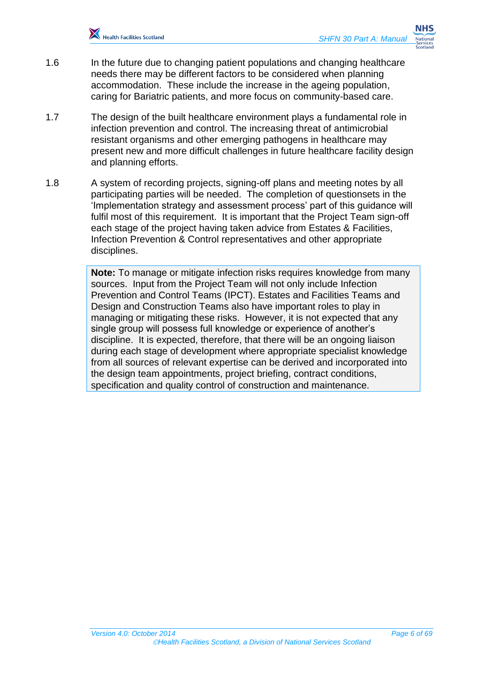

- 1.6 In the future due to changing patient populations and changing healthcare needs there may be different factors to be considered when planning accommodation. These include the increase in the ageing population, caring for Bariatric patients, and more focus on community-based care.
- 1.7 The design of the built healthcare environment plays a fundamental role in infection prevention and control. The increasing threat of antimicrobial resistant organisms and other emerging pathogens in healthcare may present new and more difficult challenges in future healthcare facility design and planning efforts.
- 1.8 A system of recording projects, signing-off plans and meeting notes by all participating parties will be needed. The completion of questionsets in the 'Implementation strategy and assessment process' part of this guidance will fulfil most of this requirement. It is important that the Project Team sign-off each stage of the project having taken advice from Estates & Facilities, Infection Prevention & Control representatives and other appropriate disciplines.

**Note:** To manage or mitigate infection risks requires knowledge from many sources. Input from the Project Team will not only include Infection Prevention and Control Teams (IPCT). Estates and Facilities Teams and Design and Construction Teams also have important roles to play in managing or mitigating these risks. However, it is not expected that any single group will possess full knowledge or experience of another's discipline. It is expected, therefore, that there will be an ongoing liaison during each stage of development where appropriate specialist knowledge from all sources of relevant expertise can be derived and incorporated into the design team appointments, project briefing, contract conditions, specification and quality control of construction and maintenance.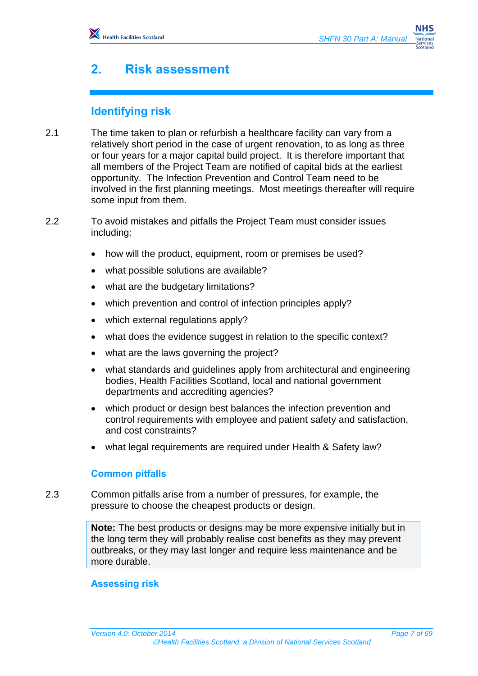# <span id="page-6-0"></span>**2. Risk assessment**

## <span id="page-6-1"></span>**Identifying risk**

- 2.1 The time taken to plan or refurbish a healthcare facility can vary from a relatively short period in the case of urgent renovation, to as long as three or four years for a major capital build project. It is therefore important that all members of the Project Team are notified of capital bids at the earliest opportunity. The Infection Prevention and Control Team need to be involved in the first planning meetings. Most meetings thereafter will require some input from them.
- 2.2 To avoid mistakes and pitfalls the Project Team must consider issues including:
	- how will the product, equipment, room or premises be used?
	- what possible solutions are available?
	- what are the budgetary limitations?
	- which prevention and control of infection principles apply?
	- which external regulations apply?
	- what does the evidence suggest in relation to the specific context?
	- what are the laws governing the project?
	- what standards and guidelines apply from architectural and engineering bodies, Health Facilities Scotland, local and national government departments and accrediting agencies?
	- which product or design best balances the infection prevention and control requirements with employee and patient safety and satisfaction, and cost constraints?
	- what legal requirements are required under Health & Safety law?

#### **Common pitfalls**

2.3 Common pitfalls arise from a number of pressures, for example, the pressure to choose the cheapest products or design.

> **Note:** The best products or designs may be more expensive initially but in the long term they will probably realise cost benefits as they may prevent outbreaks, or they may last longer and require less maintenance and be more durable.

#### **Assessing risk**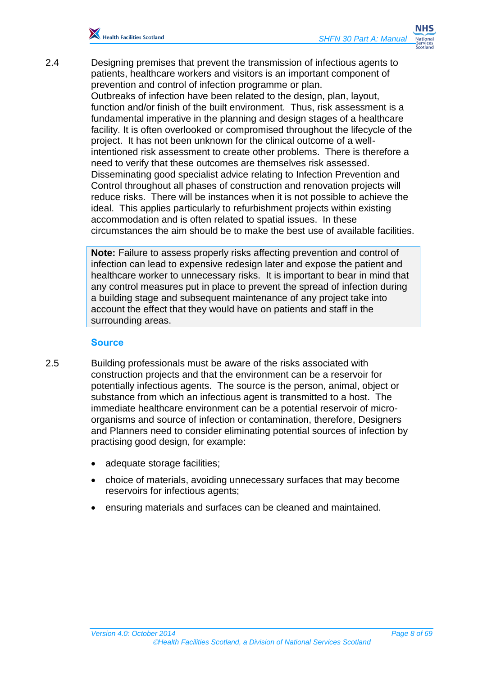

2.4 Designing premises that prevent the transmission of infectious agents to patients, healthcare workers and visitors is an important component of prevention and control of infection programme or plan.

Outbreaks of infection have been related to the design, plan, layout, function and/or finish of the built environment. Thus, risk assessment is a fundamental imperative in the planning and design stages of a healthcare facility. It is often overlooked or compromised throughout the lifecycle of the project. It has not been unknown for the clinical outcome of a wellintentioned risk assessment to create other problems. There is therefore a need to verify that these outcomes are themselves risk assessed. Disseminating good specialist advice relating to Infection Prevention and Control throughout all phases of construction and renovation projects will reduce risks. There will be instances when it is not possible to achieve the ideal. This applies particularly to refurbishment projects within existing accommodation and is often related to spatial issues. In these circumstances the aim should be to make the best use of available facilities.

**Note:** Failure to assess properly risks affecting prevention and control of infection can lead to expensive redesign later and expose the patient and healthcare worker to unnecessary risks. It is important to bear in mind that any control measures put in place to prevent the spread of infection during a building stage and subsequent maintenance of any project take into account the effect that they would have on patients and staff in the surrounding areas.

#### **Source**

- 2.5 Building professionals must be aware of the risks associated with construction projects and that the environment can be a reservoir for potentially infectious agents. The source is the person, animal, object or substance from which an infectious agent is transmitted to a host. The immediate healthcare environment can be a potential reservoir of microorganisms and source of infection or contamination, therefore, Designers and Planners need to consider eliminating potential sources of infection by practising good design, for example:
	- adequate storage facilities;
	- choice of materials, avoiding unnecessary surfaces that may become reservoirs for infectious agents;
	- ensuring materials and surfaces can be cleaned and maintained.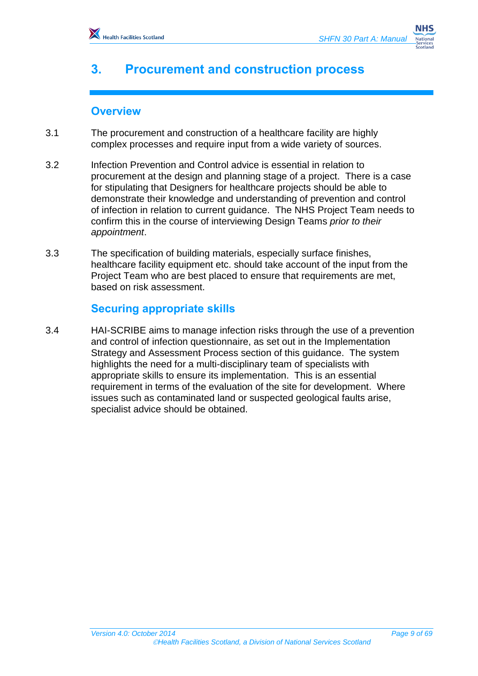# <span id="page-8-0"></span>**3. Procurement and construction process**

## <span id="page-8-1"></span>**Overview**

- 3.1 The procurement and construction of a healthcare facility are highly complex processes and require input from a wide variety of sources.
- 3.2 Infection Prevention and Control advice is essential in relation to procurement at the design and planning stage of a project. There is a case for stipulating that Designers for healthcare projects should be able to demonstrate their knowledge and understanding of prevention and control of infection in relation to current guidance. The NHS Project Team needs to confirm this in the course of interviewing Design Teams *prior to their appointment*.
- 3.3 The specification of building materials, especially surface finishes, healthcare facility equipment etc. should take account of the input from the Project Team who are best placed to ensure that requirements are met, based on risk assessment.

## <span id="page-8-2"></span>**Securing appropriate skills**

3.4 HAI-SCRIBE aims to manage infection risks through the use of a prevention and control of infection questionnaire, as set out in the Implementation Strategy and Assessment Process section of this guidance. The system highlights the need for a multi-disciplinary team of specialists with appropriate skills to ensure its implementation. This is an essential requirement in terms of the evaluation of the site for development. Where issues such as contaminated land or suspected geological faults arise, specialist advice should be obtained.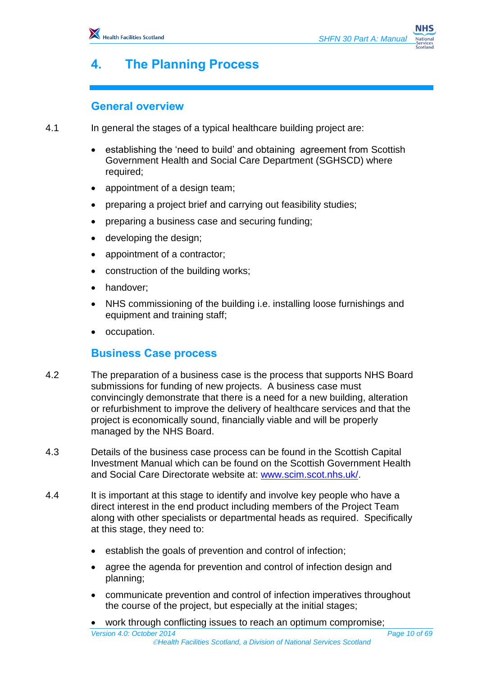# <span id="page-9-0"></span>**4. The Planning Process**

## <span id="page-9-1"></span>**General overview**

4.1 In general the stages of a typical healthcare building project are:

- establishing the 'need to build' and obtaining agreement from Scottish Government Health and Social Care Department (SGHSCD) where required;
- appointment of a design team;
- preparing a project brief and carrying out feasibility studies;
- preparing a business case and securing funding;
- developing the design;
- appointment of a contractor;
- construction of the building works;
- handover:
- NHS commissioning of the building i.e. installing loose furnishings and equipment and training staff;
- occupation.

## <span id="page-9-2"></span>**Business Case process**

- 4.2 The preparation of a business case is the process that supports NHS Board submissions for funding of new projects. A business case must convincingly demonstrate that there is a need for a new building, alteration or refurbishment to improve the delivery of healthcare services and that the project is economically sound, financially viable and will be properly managed by the NHS Board.
- 4.3 Details of the business case process can be found in the Scottish Capital Investment Manual which can be found on the Scottish Government Health and Social Care Directorate website at: [www.scim.scot.nhs.uk/.](http://www.scim.scot.nhs.uk/)
- 4.4 It is important at this stage to identify and involve key people who have a direct interest in the end product including members of the Project Team along with other specialists or departmental heads as required. Specifically at this stage, they need to:
	- establish the goals of prevention and control of infection;
	- agree the agenda for prevention and control of infection design and planning;
	- communicate prevention and control of infection imperatives throughout the course of the project, but especially at the initial stages;
	- work through conflicting issues to reach an optimum compromise;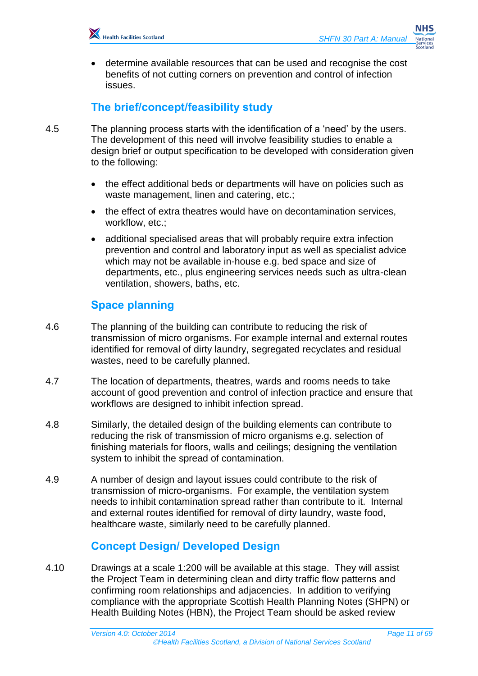

 determine available resources that can be used and recognise the cost benefits of not cutting corners on prevention and control of infection issues.

## <span id="page-10-0"></span>**The brief/concept/feasibility study**

- 4.5 The planning process starts with the identification of a 'need' by the users. The development of this need will involve feasibility studies to enable a design brief or output specification to be developed with consideration given to the following:
	- the effect additional beds or departments will have on policies such as waste management, linen and catering, etc.;
	- the effect of extra theatres would have on decontamination services, workflow, etc.;
	- additional specialised areas that will probably require extra infection prevention and control and laboratory input as well as specialist advice which may not be available in-house e.g. bed space and size of departments, etc., plus engineering services needs such as ultra-clean ventilation, showers, baths, etc.

## <span id="page-10-1"></span>**Space planning**

- 4.6 The planning of the building can contribute to reducing the risk of transmission of micro organisms. For example internal and external routes identified for removal of dirty laundry, segregated recyclates and residual wastes, need to be carefully planned.
- 4.7 The location of departments, theatres, wards and rooms needs to take account of good prevention and control of infection practice and ensure that workflows are designed to inhibit infection spread.
- 4.8 Similarly, the detailed design of the building elements can contribute to reducing the risk of transmission of micro organisms e.g. selection of finishing materials for floors, walls and ceilings; designing the ventilation system to inhibit the spread of contamination.
- 4.9 A number of design and layout issues could contribute to the risk of transmission of micro-organisms. For example, the ventilation system needs to inhibit contamination spread rather than contribute to it. Internal and external routes identified for removal of dirty laundry, waste food, healthcare waste, similarly need to be carefully planned.

## <span id="page-10-2"></span>**Concept Design/ Developed Design**

4.10 Drawings at a scale 1:200 will be available at this stage. They will assist the Project Team in determining clean and dirty traffic flow patterns and confirming room relationships and adjacencies. In addition to verifying compliance with the appropriate Scottish Health Planning Notes (SHPN) or Health Building Notes (HBN), the Project Team should be asked review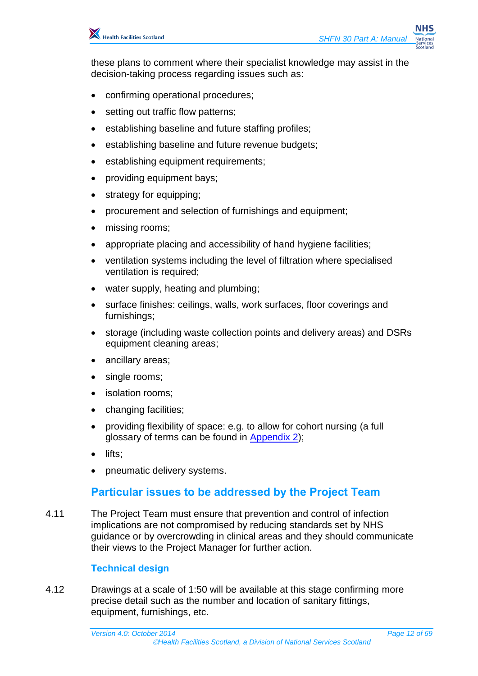

these plans to comment where their specialist knowledge may assist in the decision-taking process regarding issues such as:

- confirming operational procedures;
- setting out traffic flow patterns;
- establishing baseline and future staffing profiles;
- establishing baseline and future revenue budgets;
- establishing equipment requirements;
- providing equipment bays;
- strategy for equipping;
- procurement and selection of furnishings and equipment;
- missing rooms;
- appropriate placing and accessibility of hand hygiene facilities;
- ventilation systems including the level of filtration where specialised ventilation is required;
- water supply, heating and plumbing;
- surface finishes: ceilings, walls, work surfaces, floor coverings and furnishings;
- storage (including waste collection points and delivery areas) and DSRs equipment cleaning areas;
- ancillary areas;
- single rooms;
- isolation rooms;
- changing facilities;
- providing flexibility of space: e.g. to allow for cohort nursing (a full glossary of terms can be found in [Appendix 2\)](#page-60-0);
- lifts:
- pneumatic delivery systems.

## <span id="page-11-0"></span>**Particular issues to be addressed by the Project Team**

4.11 The Project Team must ensure that prevention and control of infection implications are not compromised by reducing standards set by NHS guidance or by overcrowding in clinical areas and they should communicate their views to the Project Manager for further action.

#### **Technical design**

4.12 Drawings at a scale of 1:50 will be available at this stage confirming more precise detail such as the number and location of sanitary fittings, equipment, furnishings, etc.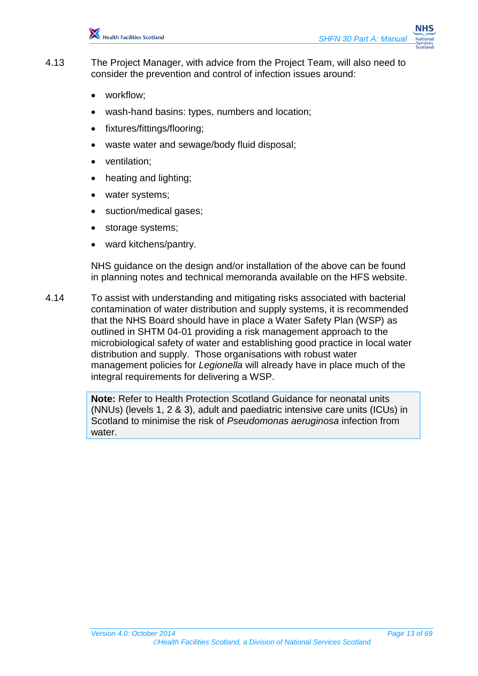

- 4.13 The Project Manager, with advice from the Project Team, will also need to consider the prevention and control of infection issues around:
	- workflow;
	- wash-hand basins: types, numbers and location;
	- fixtures/fittings/flooring;
	- waste water and sewage/body fluid disposal;
	- ventilation;
	- heating and lighting;
	- water systems;
	- suction/medical gases;
	- storage systems;
	- ward kitchens/pantry.

NHS guidance on the design and/or installation of the above can be found in planning notes and technical memoranda available on the HFS website.

4.14 To assist with understanding and mitigating risks associated with bacterial contamination of water distribution and supply systems, it is recommended that the NHS Board should have in place a Water Safety Plan (WSP) as outlined in SHTM 04-01 providing a risk management approach to the microbiological safety of water and establishing good practice in local water distribution and supply. Those organisations with robust water management policies for *Legionella* will already have in place much of the integral requirements for delivering a WSP.

> **Note:** Refer to Health Protection Scotland Guidance for neonatal units (NNUs) (levels 1, 2 & 3), adult and paediatric intensive care units (ICUs) in Scotland to minimise the risk of *Pseudomonas aeruginosa* infection from water.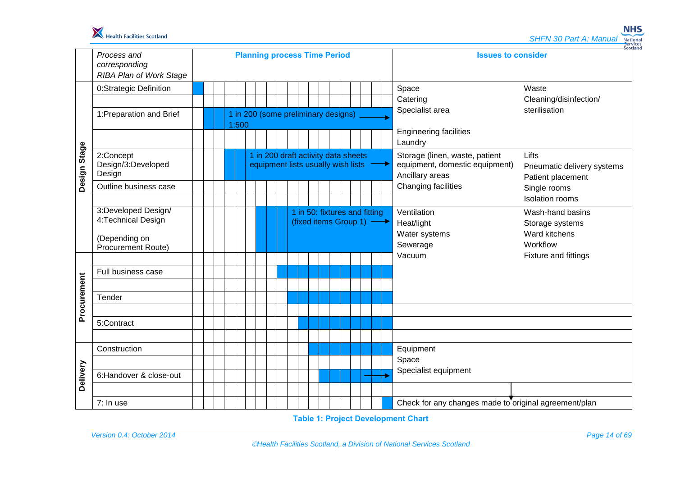

**NHS SHFN 30 Part A: Manual National**<br> **Services**<br>
Scotland

|              | Process and<br>corresponding<br><b>RIBA Plan of Work Stage</b>                    | <b>Planning process Time Period</b> |                                                                           |  |                                                            |  |  |  |  |  |  |  |  |  |  | <b>Issues to consider</b>                                                                                                                       |                                                                         |  |  |
|--------------|-----------------------------------------------------------------------------------|-------------------------------------|---------------------------------------------------------------------------|--|------------------------------------------------------------|--|--|--|--|--|--|--|--|--|--|-------------------------------------------------------------------------------------------------------------------------------------------------|-------------------------------------------------------------------------|--|--|
|              | 0:Strategic Definition                                                            |                                     |                                                                           |  |                                                            |  |  |  |  |  |  |  |  |  |  | Space                                                                                                                                           | Waste                                                                   |  |  |
| Design Stage |                                                                                   |                                     |                                                                           |  |                                                            |  |  |  |  |  |  |  |  |  |  | Catering                                                                                                                                        | Cleaning/disinfection/                                                  |  |  |
|              | 1: Preparation and Brief                                                          |                                     | 1 in 200 (some preliminary designs)<br>1:500                              |  |                                                            |  |  |  |  |  |  |  |  |  |  | Specialist area<br>sterilisation                                                                                                                |                                                                         |  |  |
|              |                                                                                   |                                     |                                                                           |  |                                                            |  |  |  |  |  |  |  |  |  |  | <b>Engineering facilities</b>                                                                                                                   |                                                                         |  |  |
|              |                                                                                   |                                     |                                                                           |  |                                                            |  |  |  |  |  |  |  |  |  |  | Laundry                                                                                                                                         |                                                                         |  |  |
|              | 2:Concept<br>Design/3:Developed<br>Design                                         |                                     | 1 in 200 draft activity data sheets<br>equipment lists usually wish lists |  |                                                            |  |  |  |  |  |  |  |  |  |  | Storage (linen, waste, patient<br>Lifts<br>equipment, domestic equipment)<br>Pneumatic delivery systems<br>Ancillary areas<br>Patient placement |                                                                         |  |  |
|              | Outline business case                                                             |                                     |                                                                           |  |                                                            |  |  |  |  |  |  |  |  |  |  | Changing facilities                                                                                                                             | Single rooms<br><b>Isolation rooms</b>                                  |  |  |
|              | 3:Developed Design/<br>4: Technical Design<br>(Depending on<br>Procurement Route) |                                     |                                                                           |  | 1 in 50: fixtures and fitting<br>(fixed items Group 1) - → |  |  |  |  |  |  |  |  |  |  | Ventilation<br>Heat/light<br>Water systems<br>Sewerage                                                                                          | Wash-hand basins<br>Storage systems<br><b>Ward kitchens</b><br>Workflow |  |  |
| Procurement  |                                                                                   |                                     |                                                                           |  |                                                            |  |  |  |  |  |  |  |  |  |  | Vacuum                                                                                                                                          | Fixture and fittings                                                    |  |  |
|              | Full business case                                                                |                                     |                                                                           |  |                                                            |  |  |  |  |  |  |  |  |  |  |                                                                                                                                                 |                                                                         |  |  |
|              | Tender                                                                            |                                     |                                                                           |  |                                                            |  |  |  |  |  |  |  |  |  |  |                                                                                                                                                 |                                                                         |  |  |
|              |                                                                                   |                                     |                                                                           |  |                                                            |  |  |  |  |  |  |  |  |  |  |                                                                                                                                                 |                                                                         |  |  |
|              | 5:Contract                                                                        |                                     |                                                                           |  |                                                            |  |  |  |  |  |  |  |  |  |  |                                                                                                                                                 |                                                                         |  |  |
|              |                                                                                   |                                     |                                                                           |  |                                                            |  |  |  |  |  |  |  |  |  |  |                                                                                                                                                 |                                                                         |  |  |
|              | Construction                                                                      |                                     |                                                                           |  |                                                            |  |  |  |  |  |  |  |  |  |  | Equipment                                                                                                                                       |                                                                         |  |  |
|              |                                                                                   |                                     |                                                                           |  |                                                            |  |  |  |  |  |  |  |  |  |  | Space<br>Specialist equipment                                                                                                                   |                                                                         |  |  |
| Delivery     | 6:Handover & close-out                                                            |                                     |                                                                           |  |                                                            |  |  |  |  |  |  |  |  |  |  |                                                                                                                                                 |                                                                         |  |  |
|              |                                                                                   |                                     |                                                                           |  |                                                            |  |  |  |  |  |  |  |  |  |  |                                                                                                                                                 |                                                                         |  |  |
|              | 7: In use                                                                         |                                     |                                                                           |  |                                                            |  |  |  |  |  |  |  |  |  |  | Check for any changes made to original agreement/plan                                                                                           |                                                                         |  |  |

**Table 1: Project Development Chart**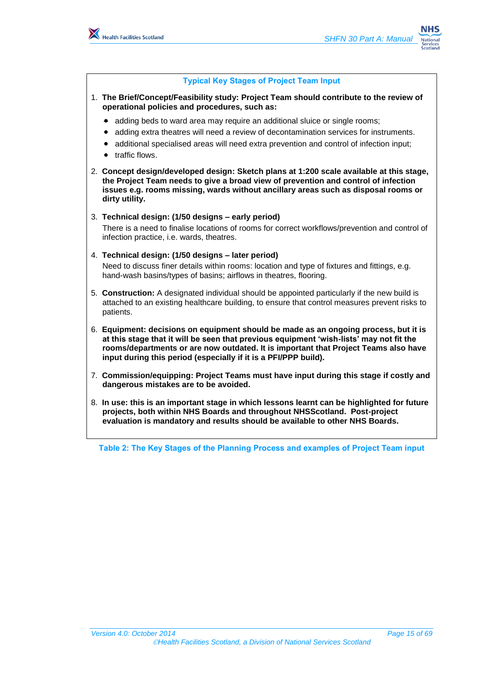

#### **Typical Key Stages of Project Team Input**

- 1. **The Brief/Concept/Feasibility study: Project Team should contribute to the review of operational policies and procedures, such as:**
	- adding beds to ward area may require an additional sluice or single rooms;
	- adding extra theatres will need a review of decontamination services for instruments.
	- additional specialised areas will need extra prevention and control of infection input;
	- traffic flows.
- 2. **Concept design/developed design: Sketch plans at 1:200 scale available at this stage, the Project Team needs to give a broad view of prevention and control of infection issues e.g. rooms missing, wards without ancillary areas such as disposal rooms or dirty utility.**

#### 3. **Technical design: (1/50 designs – early period)**

There is a need to finalise locations of rooms for correct workflows/prevention and control of infection practice, i.e. wards, theatres.

#### 4. **Technical design: (1/50 designs – later period)**

Need to discuss finer details within rooms: location and type of fixtures and fittings, e.g. hand-wash basins/types of basins; airflows in theatres, flooring.

- 5. **Construction:** A designated individual should be appointed particularly if the new build is attached to an existing healthcare building, to ensure that control measures prevent risks to patients.
- 6. **Equipment: decisions on equipment should be made as an ongoing process, but it is at this stage that it will be seen that previous equipment 'wish-lists' may not fit the rooms/departments or are now outdated. It is important that Project Teams also have input during this period (especially if it is a PFI/PPP build).**
- 7. **Commission/equipping: Project Teams must have input during this stage if costly and dangerous mistakes are to be avoided.**
- 8. **In use: this is an important stage in which lessons learnt can be highlighted for future projects, both within NHS Boards and throughout NHSScotland. Post-project evaluation is mandatory and results should be available to other NHS Boards.**

**Table 2: The Key Stages of the Planning Process and examples of Project Team input**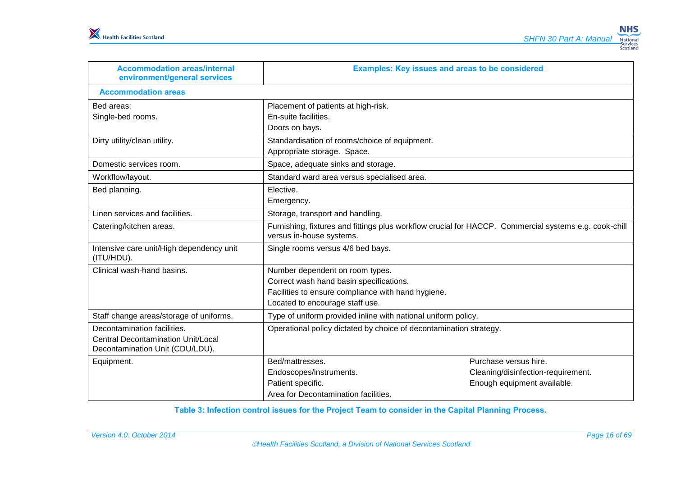| <b>Accommodation areas/internal</b><br>environment/general services                                      | <b>Examples: Key issues and areas to be considered</b>                                                                            |                                    |  |  |  |  |  |  |
|----------------------------------------------------------------------------------------------------------|-----------------------------------------------------------------------------------------------------------------------------------|------------------------------------|--|--|--|--|--|--|
| <b>Accommodation areas</b>                                                                               |                                                                                                                                   |                                    |  |  |  |  |  |  |
| Bed areas:                                                                                               | Placement of patients at high-risk.                                                                                               |                                    |  |  |  |  |  |  |
| Single-bed rooms.                                                                                        | En-suite facilities.                                                                                                              |                                    |  |  |  |  |  |  |
|                                                                                                          | Doors on bays.                                                                                                                    |                                    |  |  |  |  |  |  |
| Dirty utility/clean utility.                                                                             | Standardisation of rooms/choice of equipment.                                                                                     |                                    |  |  |  |  |  |  |
|                                                                                                          | Appropriate storage. Space.                                                                                                       |                                    |  |  |  |  |  |  |
| Domestic services room.                                                                                  | Space, adequate sinks and storage.                                                                                                |                                    |  |  |  |  |  |  |
| Workflow/layout.<br>Standard ward area versus specialised area.                                          |                                                                                                                                   |                                    |  |  |  |  |  |  |
| Bed planning.                                                                                            | Elective.                                                                                                                         |                                    |  |  |  |  |  |  |
| Emergency.                                                                                               |                                                                                                                                   |                                    |  |  |  |  |  |  |
| Linen services and facilities.<br>Storage, transport and handling.                                       |                                                                                                                                   |                                    |  |  |  |  |  |  |
| Catering/kitchen areas.                                                                                  | Furnishing, fixtures and fittings plus workflow crucial for HACCP. Commercial systems e.g. cook-chill<br>versus in-house systems. |                                    |  |  |  |  |  |  |
| Intensive care unit/High dependency unit<br>(ITU/HDU).                                                   | Single rooms versus 4/6 bed bays.                                                                                                 |                                    |  |  |  |  |  |  |
| Clinical wash-hand basins.                                                                               | Number dependent on room types.                                                                                                   |                                    |  |  |  |  |  |  |
|                                                                                                          | Correct wash hand basin specifications.                                                                                           |                                    |  |  |  |  |  |  |
|                                                                                                          | Facilities to ensure compliance with hand hygiene.                                                                                |                                    |  |  |  |  |  |  |
|                                                                                                          | Located to encourage staff use.                                                                                                   |                                    |  |  |  |  |  |  |
| Type of uniform provided inline with national uniform policy.<br>Staff change areas/storage of uniforms. |                                                                                                                                   |                                    |  |  |  |  |  |  |
| Decontamination facilities.                                                                              | Operational policy dictated by choice of decontamination strategy.                                                                |                                    |  |  |  |  |  |  |
| <b>Central Decontamination Unit/Local</b>                                                                |                                                                                                                                   |                                    |  |  |  |  |  |  |
| Decontamination Unit (CDU/LDU).                                                                          |                                                                                                                                   |                                    |  |  |  |  |  |  |
| Equipment.                                                                                               | Bed/mattresses.                                                                                                                   | Purchase versus hire.              |  |  |  |  |  |  |
|                                                                                                          | Endoscopes/instruments.                                                                                                           | Cleaning/disinfection-requirement. |  |  |  |  |  |  |
|                                                                                                          | Patient specific.                                                                                                                 | Enough equipment available.        |  |  |  |  |  |  |
|                                                                                                          | Area for Decontamination facilities.                                                                                              |                                    |  |  |  |  |  |  |

**Table 3: Infection control issues for the Project Team to consider in the Capital Planning Process.**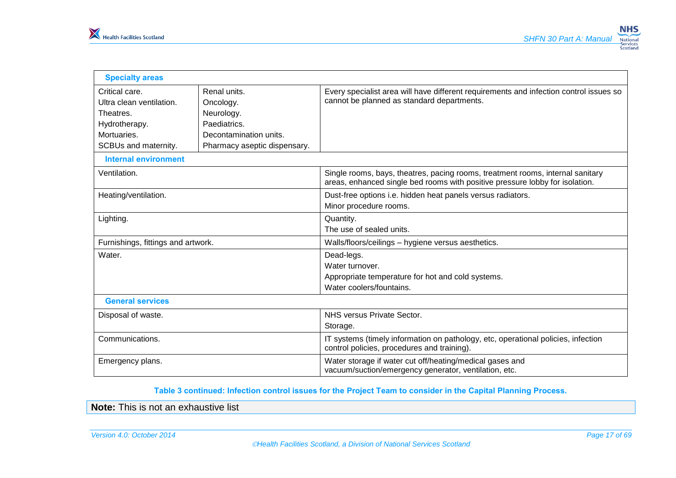| <b>Specialty areas</b>                                                                                          |                                                                                                                   |                                                                                                                                                                |  |  |  |  |  |  |  |
|-----------------------------------------------------------------------------------------------------------------|-------------------------------------------------------------------------------------------------------------------|----------------------------------------------------------------------------------------------------------------------------------------------------------------|--|--|--|--|--|--|--|
| Critical care.<br>Ultra clean ventilation.<br>Theatres.<br>Hydrotherapy.<br>Mortuaries.<br>SCBUs and maternity. | Renal units.<br>Oncology.<br>Neurology.<br>Paediatrics.<br>Decontamination units.<br>Pharmacy aseptic dispensary. | Every specialist area will have different requirements and infection control issues so<br>cannot be planned as standard departments.                           |  |  |  |  |  |  |  |
| <b>Internal environment</b>                                                                                     |                                                                                                                   |                                                                                                                                                                |  |  |  |  |  |  |  |
| Ventilation.                                                                                                    |                                                                                                                   | Single rooms, bays, theatres, pacing rooms, treatment rooms, internal sanitary<br>areas, enhanced single bed rooms with positive pressure lobby for isolation. |  |  |  |  |  |  |  |
| Heating/ventilation.                                                                                            |                                                                                                                   | Dust-free options i.e. hidden heat panels versus radiators.<br>Minor procedure rooms.                                                                          |  |  |  |  |  |  |  |
| Lighting.                                                                                                       |                                                                                                                   | Quantity.<br>The use of sealed units.                                                                                                                          |  |  |  |  |  |  |  |
| Furnishings, fittings and artwork.                                                                              |                                                                                                                   | Walls/floors/ceilings - hygiene versus aesthetics.                                                                                                             |  |  |  |  |  |  |  |
| Water.                                                                                                          |                                                                                                                   | Dead-legs.<br>Water turnover.<br>Appropriate temperature for hot and cold systems.<br>Water coolers/fountains.                                                 |  |  |  |  |  |  |  |
| <b>General services</b>                                                                                         |                                                                                                                   |                                                                                                                                                                |  |  |  |  |  |  |  |
| Disposal of waste.                                                                                              |                                                                                                                   | NHS versus Private Sector.<br>Storage.                                                                                                                         |  |  |  |  |  |  |  |
| Communications.                                                                                                 |                                                                                                                   | IT systems (timely information on pathology, etc, operational policies, infection<br>control policies, procedures and training).                               |  |  |  |  |  |  |  |
| Emergency plans.                                                                                                |                                                                                                                   | Water storage if water cut off/heating/medical gases and<br>vacuum/suction/emergency generator, ventilation, etc.                                              |  |  |  |  |  |  |  |

**Table 3 continued: Infection control issues for the Project Team to consider in the Capital Planning Process.** 

**Note:** This is not an exhaustive list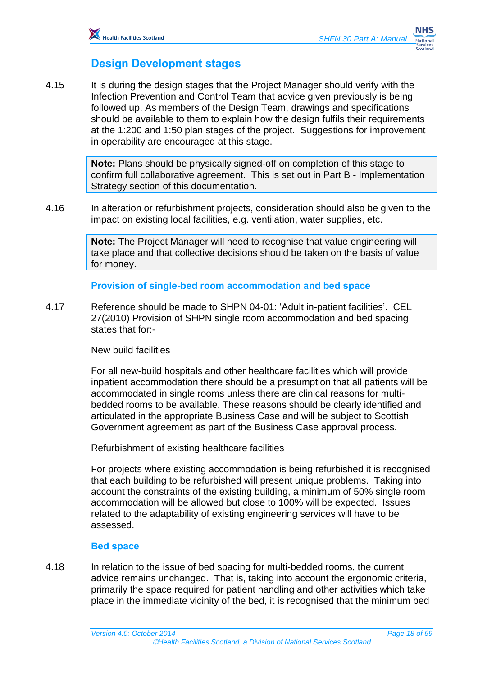## <span id="page-17-0"></span>**Design Development stages**

4.15 It is during the design stages that the Project Manager should verify with the Infection Prevention and Control Team that advice given previously is being followed up. As members of the Design Team, drawings and specifications should be available to them to explain how the design fulfils their requirements at the 1:200 and 1:50 plan stages of the project. Suggestions for improvement in operability are encouraged at this stage.

> **Note:** Plans should be physically signed-off on completion of this stage to confirm full collaborative agreement. This is set out in Part B - Implementation Strategy section of this documentation.

4.16 In alteration or refurbishment projects, consideration should also be given to the impact on existing local facilities, e.g. ventilation, water supplies, etc.

> **Note:** The Project Manager will need to recognise that value engineering will take place and that collective decisions should be taken on the basis of value for money.

#### **Provision of single-bed room accommodation and bed space**

4.17 Reference should be made to SHPN 04-01: 'Adult in-patient facilities'. CEL 27(2010) Provision of SHPN single room accommodation and bed spacing states that for:-

#### New build facilities

For all new-build hospitals and other healthcare facilities which will provide inpatient accommodation there should be a presumption that all patients will be accommodated in single rooms unless there are clinical reasons for multibedded rooms to be available. These reasons should be clearly identified and articulated in the appropriate Business Case and will be subject to Scottish Government agreement as part of the Business Case approval process.

Refurbishment of existing healthcare facilities

For projects where existing accommodation is being refurbished it is recognised that each building to be refurbished will present unique problems. Taking into account the constraints of the existing building, a minimum of 50% single room accommodation will be allowed but close to 100% will be expected. Issues related to the adaptability of existing engineering services will have to be assessed.

#### **Bed space**

4.18 In relation to the issue of bed spacing for multi-bedded rooms, the current advice remains unchanged. That is, taking into account the ergonomic criteria, primarily the space required for patient handling and other activities which take place in the immediate vicinity of the bed, it is recognised that the minimum bed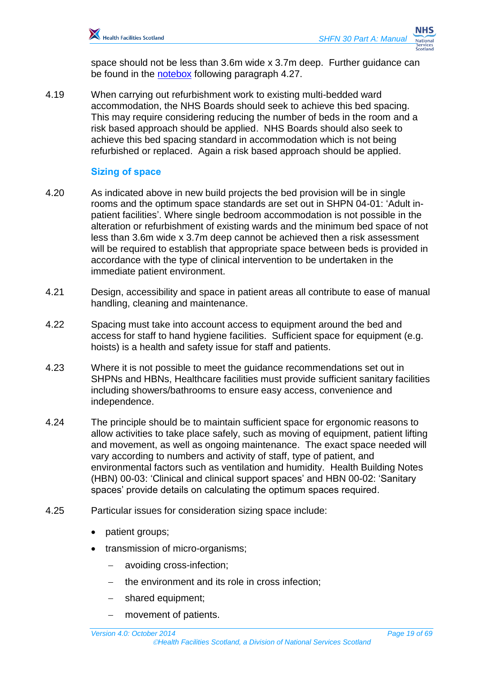space should not be less than 3.6m wide x 3.7m deep. Further guidance can be found in the [notebox](#page-19-0) following paragraph 4.27.

4.19 When carrying out refurbishment work to existing multi-bedded ward accommodation, the NHS Boards should seek to achieve this bed spacing. This may require considering reducing the number of beds in the room and a risk based approach should be applied. NHS Boards should also seek to achieve this bed spacing standard in accommodation which is not being refurbished or replaced. Again a risk based approach should be applied.

## **Sizing of space**

- 4.20 As indicated above in new build projects the bed provision will be in single rooms and the optimum space standards are set out in SHPN 04-01: 'Adult inpatient facilities'. Where single bedroom accommodation is not possible in the alteration or refurbishment of existing wards and the minimum bed space of not less than 3.6m wide x 3.7m deep cannot be achieved then a risk assessment will be required to establish that appropriate space between beds is provided in accordance with the type of clinical intervention to be undertaken in the immediate patient environment.
- 4.21 Design, accessibility and space in patient areas all contribute to ease of manual handling, cleaning and maintenance.
- 4.22 Spacing must take into account access to equipment around the bed and access for staff to hand hygiene facilities. Sufficient space for equipment (e.g. hoists) is a health and safety issue for staff and patients.
- 4.23 Where it is not possible to meet the guidance recommendations set out in SHPNs and HBNs, Healthcare facilities must provide sufficient sanitary facilities including showers/bathrooms to ensure easy access, convenience and independence.
- 4.24 The principle should be to maintain sufficient space for ergonomic reasons to allow activities to take place safely, such as moving of equipment, patient lifting and movement, as well as ongoing maintenance. The exact space needed will vary according to numbers and activity of staff, type of patient, and environmental factors such as ventilation and humidity. Health Building Notes (HBN) 00-03: 'Clinical and clinical support spaces' and HBN 00-02: 'Sanitary spaces' provide details on calculating the optimum spaces required.
- 4.25 Particular issues for consideration sizing space include:
	- patient groups;
	- transmission of micro-organisms;
		- avoiding cross-infection;
		- the environment and its role in cross infection;
		- shared equipment;
		- movement of patients.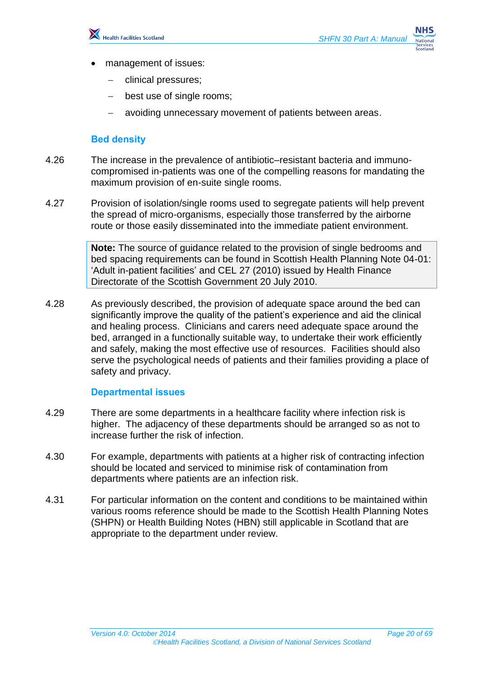

- management of issues:
	- clinical pressures;
	- best use of single rooms;
	- avoiding unnecessary movement of patients between areas.

## **Bed density**

- 4.26 The increase in the prevalence of antibiotic–resistant bacteria and immunocompromised in-patients was one of the compelling reasons for mandating the maximum provision of en-suite single rooms.
- 4.27 Provision of isolation/single rooms used to segregate patients will help prevent the spread of micro-organisms, especially those transferred by the airborne route or those easily disseminated into the immediate patient environment.

<span id="page-19-0"></span>**Note:** The source of guidance related to the provision of single bedrooms and bed spacing requirements can be found in Scottish Health Planning Note 04-01: 'Adult in-patient facilities' and CEL 27 (2010) issued by Health Finance Directorate of the Scottish Government 20 July 2010.

4.28 As previously described, the provision of adequate space around the bed can significantly improve the quality of the patient's experience and aid the clinical and healing process. Clinicians and carers need adequate space around the bed, arranged in a functionally suitable way, to undertake their work efficiently and safely, making the most effective use of resources. Facilities should also serve the psychological needs of patients and their families providing a place of safety and privacy.

## **Departmental issues**

- 4.29 There are some departments in a healthcare facility where infection risk is higher. The adjacency of these departments should be arranged so as not to increase further the risk of infection.
- 4.30 For example, departments with patients at a higher risk of contracting infection should be located and serviced to minimise risk of contamination from departments where patients are an infection risk.
- 4.31 For particular information on the content and conditions to be maintained within various rooms reference should be made to the Scottish Health Planning Notes (SHPN) or Health Building Notes (HBN) still applicable in Scotland that are appropriate to the department under review.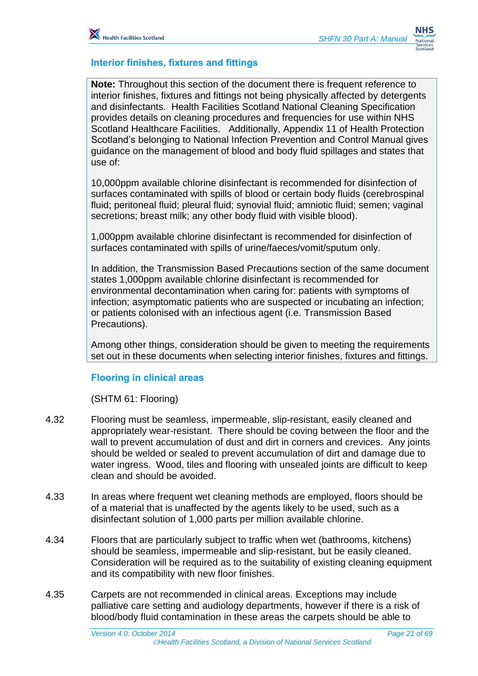

#### **Interior finishes, fixtures and fittings**

**Note:** Throughout this section of the document there is frequent reference to interior finishes, fixtures and fittings not being physically affected by detergents and disinfectants. Health Facilities Scotland National Cleaning Specification provides details on cleaning procedures and frequencies for use within NHS Scotland Healthcare Facilities. Additionally, Appendix 11 of Health Protection Scotland's belonging to National Infection Prevention and Control Manual gives guidance on the management of blood and body fluid spillages and states that use of:

10,000ppm available chlorine disinfectant is recommended for disinfection of surfaces contaminated with spills of blood or certain body fluids (cerebrospinal fluid; peritoneal fluid; pleural fluid; synovial fluid; amniotic fluid; semen; vaginal secretions; breast milk; any other body fluid with visible blood).

1,000ppm available chlorine disinfectant is recommended for disinfection of surfaces contaminated with spills of urine/faeces/vomit/sputum only.

In addition, the Transmission Based Precautions section of the same document states 1,000ppm available chlorine disinfectant is recommended for environmental decontamination when caring for: patients with symptoms of infection; asymptomatic patients who are suspected or incubating an infection; or patients colonised with an infectious agent (i.e. Transmission Based Precautions).

Among other things, consideration should be given to meeting the requirements set out in these documents when selecting interior finishes, fixtures and fittings.

#### **Flooring in clinical areas**

(SHTM 61: Flooring)

- 4.32 Flooring must be seamless, impermeable, slip-resistant, easily cleaned and appropriately wear-resistant. There should be coving between the floor and the wall to prevent accumulation of dust and dirt in corners and crevices. Any joints should be welded or sealed to prevent accumulation of dirt and damage due to water ingress. Wood, tiles and flooring with unsealed joints are difficult to keep clean and should be avoided.
- 4.33 In areas where frequent wet cleaning methods are employed, floors should be of a material that is unaffected by the agents likely to be used, such as a disinfectant solution of 1,000 parts per million available chlorine.
- 4.34 Floors that are particularly subject to traffic when wet (bathrooms, kitchens) should be seamless, impermeable and slip-resistant, but be easily cleaned. Consideration will be required as to the suitability of existing cleaning equipment and its compatibility with new floor finishes.
- 4.35 Carpets are not recommended in clinical areas. Exceptions may include palliative care setting and audiology departments, however if there is a risk of blood/body fluid contamination in these areas the carpets should be able to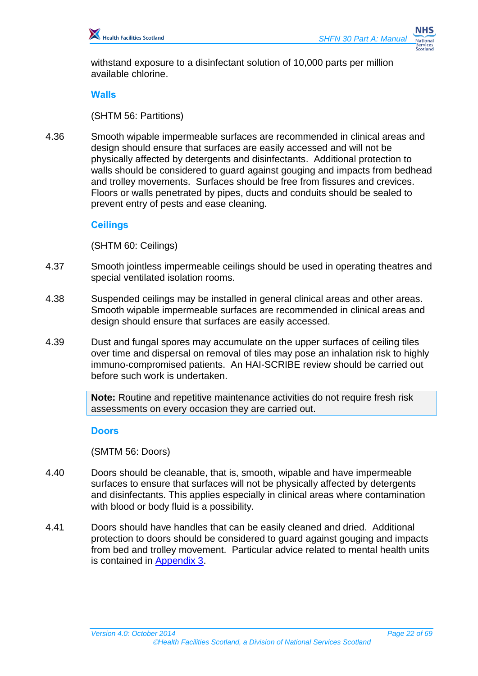withstand exposure to a disinfectant solution of 10,000 parts per million available chlorine.

#### **Walls**

(SHTM 56: Partitions)

4.36 Smooth wipable impermeable surfaces are recommended in clinical areas and design should ensure that surfaces are easily accessed and will not be physically affected by detergents and disinfectants. Additional protection to walls should be considered to guard against gouging and impacts from bedhead and trolley movements. Surfaces should be free from fissures and crevices. Floors or walls penetrated by pipes, ducts and conduits should be sealed to prevent entry of pests and ease cleaning*.*

#### **Ceilings**

(SHTM 60: Ceilings)

- 4.37 Smooth jointless impermeable ceilings should be used in operating theatres and special ventilated isolation rooms.
- 4.38 Suspended ceilings may be installed in general clinical areas and other areas. Smooth wipable impermeable surfaces are recommended in clinical areas and design should ensure that surfaces are easily accessed.
- 4.39 Dust and fungal spores may accumulate on the upper surfaces of ceiling tiles over time and dispersal on removal of tiles may pose an inhalation risk to highly immuno-compromised patients. An HAI-SCRIBE review should be carried out before such work is undertaken.

**Note:** Routine and repetitive maintenance activities do not require fresh risk assessments on every occasion they are carried out.

#### **Doors**

(SMTM 56: Doors)

- 4.40 Doors should be cleanable, that is, smooth, wipable and have impermeable surfaces to ensure that surfaces will not be physically affected by detergents and disinfectants. This applies especially in clinical areas where contamination with blood or body fluid is a possibility.
- 4.41 Doors should have handles that can be easily cleaned and dried. Additional protection to doors should be considered to guard against gouging and impacts from bed and trolley movement. Particular advice related to mental health units is contained in [Appendix 3.](#page-63-0)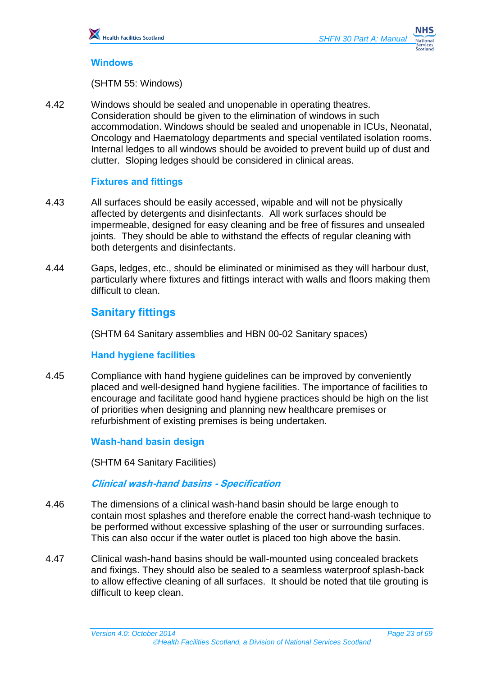#### **Windows**

(SHTM 55: Windows)

4.42 Windows should be sealed and unopenable in operating theatres. Consideration should be given to the elimination of windows in such accommodation. Windows should be sealed and unopenable in ICUs, Neonatal, Oncology and Haematology departments and special ventilated isolation rooms. Internal ledges to all windows should be avoided to prevent build up of dust and clutter. Sloping ledges should be considered in clinical areas.

#### **Fixtures and fittings**

- 4.43 All surfaces should be easily accessed, wipable and will not be physically affected by detergents and disinfectants. All work surfaces should be impermeable, designed for easy cleaning and be free of fissures and unsealed joints. They should be able to withstand the effects of regular cleaning with both detergents and disinfectants.
- 4.44 Gaps, ledges, etc., should be eliminated or minimised as they will harbour dust, particularly where fixtures and fittings interact with walls and floors making them difficult to clean.

## <span id="page-22-0"></span>**Sanitary fittings**

(SHTM 64 Sanitary assemblies and HBN 00-02 Sanitary spaces)

## **Hand hygiene facilities**

4.45 Compliance with hand hygiene guidelines can be improved by conveniently placed and well-designed hand hygiene facilities. The importance of facilities to encourage and facilitate good hand hygiene practices should be high on the list of priorities when designing and planning new healthcare premises or refurbishment of existing premises is being undertaken.

#### **Wash-hand basin design**

(SHTM 64 Sanitary Facilities)

**Clinical wash-hand basins - Specification**

- 4.46 The dimensions of a clinical wash-hand basin should be large enough to contain most splashes and therefore enable the correct hand-wash technique to be performed without excessive splashing of the user or surrounding surfaces. This can also occur if the water outlet is placed too high above the basin.
- 4.47 Clinical wash-hand basins should be wall-mounted using concealed brackets and fixings. They should also be sealed to a seamless waterproof splash-back to allow effective cleaning of all surfaces. It should be noted that tile grouting is difficult to keep clean.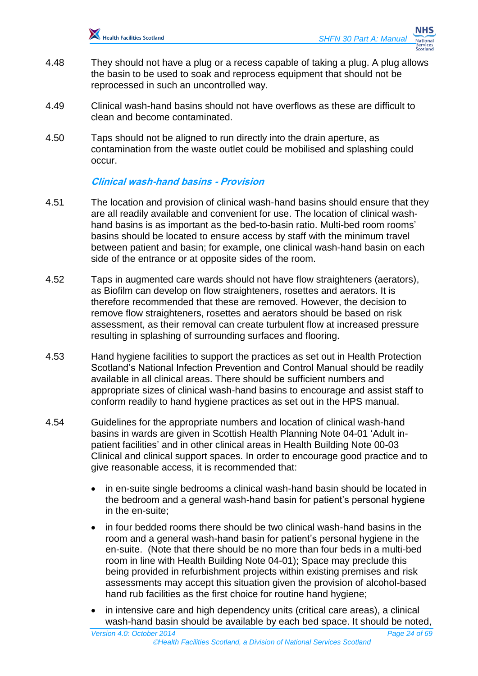

- 4.48 They should not have a plug or a recess capable of taking a plug. A plug allows the basin to be used to soak and reprocess equipment that should not be reprocessed in such an uncontrolled way.
- 4.49 Clinical wash-hand basins should not have overflows as these are difficult to clean and become contaminated.
- 4.50 Taps should not be aligned to run directly into the drain aperture, as contamination from the waste outlet could be mobilised and splashing could occur.

#### **Clinical wash-hand basins - Provision**

- 4.51 The location and provision of clinical wash-hand basins should ensure that they are all readily available and convenient for use. The location of clinical washhand basins is as important as the bed-to-basin ratio. Multi-bed room rooms' basins should be located to ensure access by staff with the minimum travel between patient and basin; for example, one clinical wash-hand basin on each side of the entrance or at opposite sides of the room.
- 4.52 Taps in augmented care wards should not have flow straighteners (aerators), as Biofilm can develop on flow straighteners, rosettes and aerators. It is therefore recommended that these are removed. However, the decision to remove flow straighteners, rosettes and aerators should be based on risk assessment, as their removal can create turbulent flow at increased pressure resulting in splashing of surrounding surfaces and flooring.
- 4.53 Hand hygiene facilities to support the practices as set out in Health Protection Scotland's National Infection Prevention and Control Manual should be readily available in all clinical areas. There should be sufficient numbers and appropriate sizes of clinical wash-hand basins to encourage and assist staff to conform readily to hand hygiene practices as set out in the HPS manual.
- 4.54 Guidelines for the appropriate numbers and location of clinical wash-hand basins in wards are given in Scottish Health Planning Note 04-01 'Adult inpatient facilities' and in other clinical areas in Health Building Note 00-03 Clinical and clinical support spaces. In order to encourage good practice and to give reasonable access, it is recommended that:
	- in en-suite single bedrooms a clinical wash-hand basin should be located in the bedroom and a general wash-hand basin for patient's personal hygiene in the en-suite;
	- in four bedded rooms there should be two clinical wash-hand basins in the room and a general wash-hand basin for patient's personal hygiene in the en-suite. (Note that there should be no more than four beds in a multi-bed room in line with Health Building Note 04-01); Space may preclude this being provided in refurbishment projects within existing premises and risk assessments may accept this situation given the provision of alcohol-based hand rub facilities as the first choice for routine hand hygiene;
	- in intensive care and high dependency units (critical care areas), a clinical wash-hand basin should be available by each bed space. It should be noted,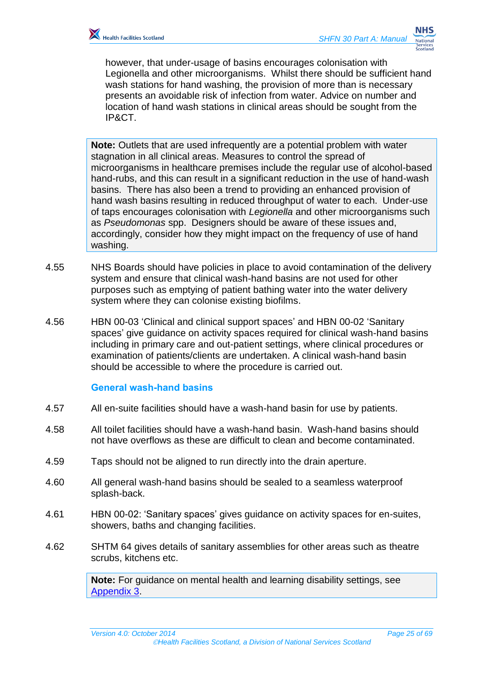however, that under-usage of basins encourages colonisation with Legionella and other microorganisms. Whilst there should be sufficient hand wash stations for hand washing, the provision of more than is necessary presents an avoidable risk of infection from water. Advice on number and location of hand wash stations in clinical areas should be sought from the IP&CT.

**Note:** Outlets that are used infrequently are a potential problem with water stagnation in all clinical areas. Measures to control the spread of microorganisms in healthcare premises include the regular use of alcohol-based hand-rubs, and this can result in a significant reduction in the use of hand-wash basins. There has also been a trend to providing an enhanced provision of hand wash basins resulting in reduced throughput of water to each. Under-use of taps encourages colonisation with *Legionella* and other microorganisms such as *Pseudomonas* spp. Designers should be aware of these issues and, accordingly, consider how they might impact on the frequency of use of hand washing.

- 4.55 NHS Boards should have policies in place to avoid contamination of the delivery system and ensure that clinical wash-hand basins are not used for other purposes such as emptying of patient bathing water into the water delivery system where they can colonise existing biofilms.
- 4.56 HBN 00-03 'Clinical and clinical support spaces' and HBN 00-02 'Sanitary spaces' give guidance on activity spaces required for clinical wash-hand basins including in primary care and out-patient settings, where clinical procedures or examination of patients/clients are undertaken. A clinical wash-hand basin should be accessible to where the procedure is carried out.

#### **General wash-hand basins**

- 4.57 All en-suite facilities should have a wash-hand basin for use by patients.
- 4.58 All toilet facilities should have a wash-hand basin. Wash-hand basins should not have overflows as these are difficult to clean and become contaminated.
- 4.59 Taps should not be aligned to run directly into the drain aperture.
- 4.60 All general wash-hand basins should be sealed to a seamless waterproof splash-back.
- 4.61 HBN 00-02: 'Sanitary spaces' gives guidance on activity spaces for en-suites, showers, baths and changing facilities.
- 4.62 SHTM 64 gives details of sanitary assemblies for other areas such as theatre scrubs, kitchens etc.

**Note:** For guidance on mental health and learning disability settings, see [Appendix 3.](#page-63-0)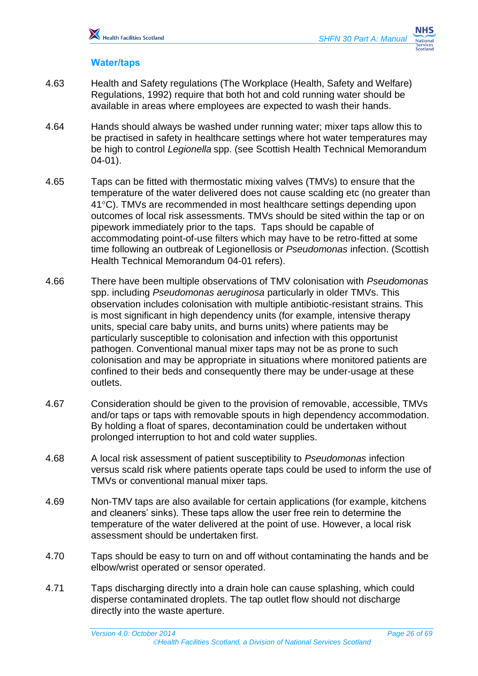#### **Water/taps**

- 4.63 Health and Safety regulations (The Workplace (Health, Safety and Welfare) Regulations, 1992) require that both hot and cold running water should be available in areas where employees are expected to wash their hands.
- 4.64 Hands should always be washed under running water; mixer taps allow this to be practised in safety in healthcare settings where hot water temperatures may be high to control *Legionella* spp. (see Scottish Health Technical Memorandum 04-01).
- 4.65 Taps can be fitted with thermostatic mixing valves (TMVs) to ensure that the temperature of the water delivered does not cause scalding etc (no greater than 41<sup>o</sup>C). TMVs are recommended in most healthcare settings depending upon outcomes of local risk assessments. TMVs should be sited within the tap or on pipework immediately prior to the taps. Taps should be capable of accommodating point-of-use filters which may have to be retro-fitted at some time following an outbreak of Legionellosis or *Pseudomonas* infection. (Scottish Health Technical Memorandum 04-01 refers).
- 4.66 There have been multiple observations of TMV colonisation with *Pseudomonas* spp. including *Pseudomonas aeruginosa* particularly in older TMVs. This observation includes colonisation with multiple antibiotic-resistant strains. This is most significant in high dependency units (for example, intensive therapy units, special care baby units, and burns units) where patients may be particularly susceptible to colonisation and infection with this opportunist pathogen. Conventional manual mixer taps may not be as prone to such colonisation and may be appropriate in situations where monitored patients are confined to their beds and consequently there may be under-usage at these outlets.
- 4.67 Consideration should be given to the provision of removable, accessible, TMVs and/or taps or taps with removable spouts in high dependency accommodation. By holding a float of spares, decontamination could be undertaken without prolonged interruption to hot and cold water supplies.
- 4.68 A local risk assessment of patient susceptibility to *Pseudomonas* infection versus scald risk where patients operate taps could be used to inform the use of TMVs or conventional manual mixer taps.
- 4.69 Non-TMV taps are also available for certain applications (for example, kitchens and cleaners' sinks). These taps allow the user free rein to determine the temperature of the water delivered at the point of use. However, a local risk assessment should be undertaken first.
- 4.70 Taps should be easy to turn on and off without contaminating the hands and be elbow/wrist operated or sensor operated.
- 4.71 Taps discharging directly into a drain hole can cause splashing, which could disperse contaminated droplets. The tap outlet flow should not discharge directly into the waste aperture.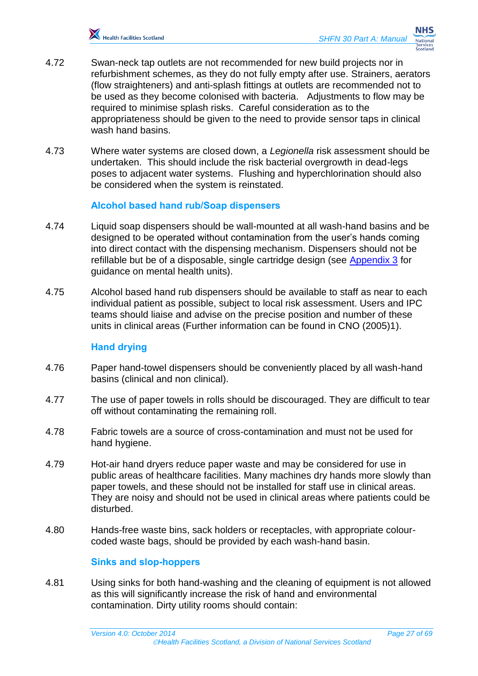- 4.72 Swan-neck tap outlets are not recommended for new build projects nor in refurbishment schemes, as they do not fully empty after use. Strainers, aerators (flow straighteners) and anti-splash fittings at outlets are recommended not to be used as they become colonised with bacteria. Adjustments to flow may be required to minimise splash risks. Careful consideration as to the appropriateness should be given to the need to provide sensor taps in clinical wash hand basins.
- 4.73 Where water systems are closed down, a *Legionella* risk assessment should be undertaken. This should include the risk bacterial overgrowth in dead-legs poses to adjacent water systems. Flushing and hyperchlorination should also be considered when the system is reinstated.

#### **Alcohol based hand rub/Soap dispensers**

- 4.74 Liquid soap dispensers should be wall-mounted at all wash-hand basins and be designed to be operated without contamination from the user's hands coming into direct contact with the dispensing mechanism. Dispensers should not be refillable but be of a disposable, single cartridge design (see [Appendix 3](#page-63-0) for guidance on mental health units).
- 4.75 Alcohol based hand rub dispensers should be available to staff as near to each individual patient as possible, subject to local risk assessment. Users and IPC teams should liaise and advise on the precise position and number of these units in clinical areas (Further information can be found in CNO (2005)1).

#### **Hand drying**

- 4.76 Paper hand-towel dispensers should be conveniently placed by all wash-hand basins (clinical and non clinical).
- 4.77 The use of paper towels in rolls should be discouraged. They are difficult to tear off without contaminating the remaining roll.
- 4.78 Fabric towels are a source of cross-contamination and must not be used for hand hygiene.
- 4.79 Hot-air hand dryers reduce paper waste and may be considered for use in public areas of healthcare facilities. Many machines dry hands more slowly than paper towels, and these should not be installed for staff use in clinical areas. They are noisy and should not be used in clinical areas where patients could be disturbed.
- 4.80 Hands-free waste bins, sack holders or receptacles, with appropriate colourcoded waste bags, should be provided by each wash-hand basin.

#### **Sinks and slop-hoppers**

4.81 Using sinks for both hand-washing and the cleaning of equipment is not allowed as this will significantly increase the risk of hand and environmental contamination. Dirty utility rooms should contain: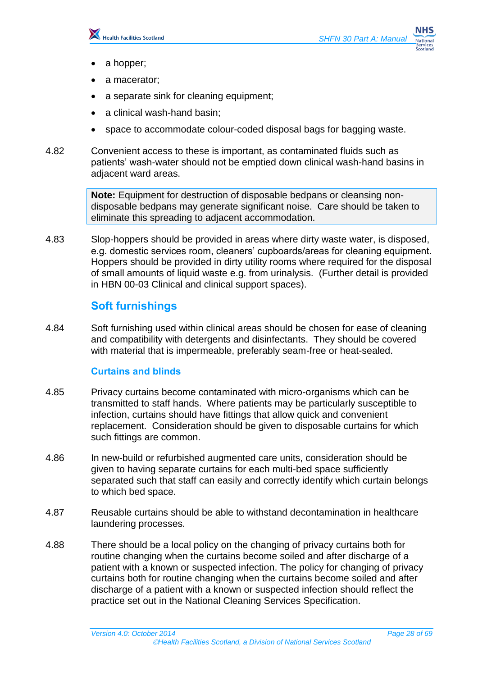

- a hopper;
- a macerator;
- a separate sink for cleaning equipment;
- a clinical wash-hand basin;
- space to accommodate colour-coded disposal bags for bagging waste.
- 4.82 Convenient access to these is important, as contaminated fluids such as patients' wash-water should not be emptied down clinical wash-hand basins in adjacent ward areas.

**Note:** Equipment for destruction of disposable bedpans or cleansing nondisposable bedpans may generate significant noise. Care should be taken to eliminate this spreading to adjacent accommodation.

4.83 Slop-hoppers should be provided in areas where dirty waste water, is disposed, e.g. domestic services room, cleaners' cupboards/areas for cleaning equipment. Hoppers should be provided in dirty utility rooms where required for the disposal of small amounts of liquid waste e.g. from urinalysis. (Further detail is provided in HBN 00-03 Clinical and clinical support spaces).

## <span id="page-27-0"></span>**Soft furnishings**

4.84 Soft furnishing used within clinical areas should be chosen for ease of cleaning and compatibility with detergents and disinfectants. They should be covered with material that is impermeable, preferably seam-free or heat-sealed.

#### **Curtains and blinds**

- 4.85 Privacy curtains become contaminated with micro-organisms which can be transmitted to staff hands. Where patients may be particularly susceptible to infection, curtains should have fittings that allow quick and convenient replacement. Consideration should be given to disposable curtains for which such fittings are common.
- 4.86 In new-build or refurbished augmented care units, consideration should be given to having separate curtains for each multi-bed space sufficiently separated such that staff can easily and correctly identify which curtain belongs to which bed space.
- 4.87 Reusable curtains should be able to withstand decontamination in healthcare laundering processes.
- 4.88 There should be a local policy on the changing of privacy curtains both for routine changing when the curtains become soiled and after discharge of a patient with a known or suspected infection. The policy for changing of privacy curtains both for routine changing when the curtains become soiled and after discharge of a patient with a known or suspected infection should reflect the practice set out in the National Cleaning Services Specification.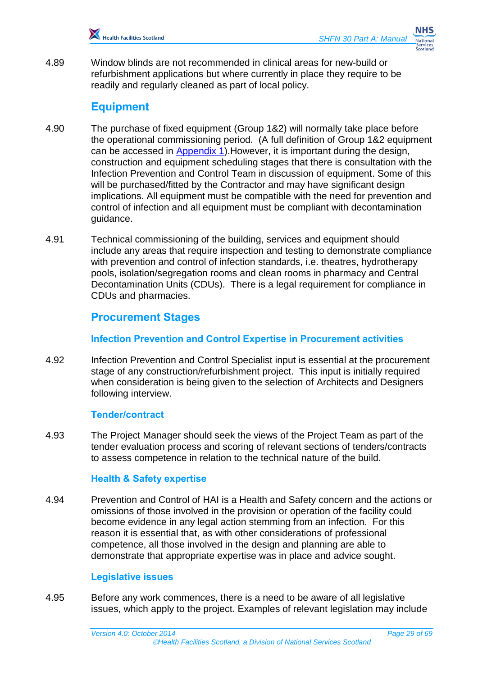

4.89 Window blinds are not recommended in clinical areas for new-build or refurbishment applications but where currently in place they require to be readily and regularly cleaned as part of local policy.

## <span id="page-28-0"></span>**Equipment**

- 4.90 The purchase of fixed equipment (Group 1&2) will normally take place before the operational commissioning period. (A full definition of Group 1&2 equipment can be accessed in [Appendix 1\)](#page-59-0). However, it is important during the design, construction and equipment scheduling stages that there is consultation with the Infection Prevention and Control Team in discussion of equipment. Some of this will be purchased/fitted by the Contractor and may have significant design implications. All equipment must be compatible with the need for prevention and control of infection and all equipment must be compliant with decontamination guidance.
- 4.91 Technical commissioning of the building, services and equipment should include any areas that require inspection and testing to demonstrate compliance with prevention and control of infection standards, i.e. theatres, hydrotherapy pools, isolation/segregation rooms and clean rooms in pharmacy and Central Decontamination Units (CDUs). There is a legal requirement for compliance in CDUs and pharmacies.

## <span id="page-28-1"></span>**Procurement Stages**

#### **Infection Prevention and Control Expertise in Procurement activities**

4.92 Infection Prevention and Control Specialist input is essential at the procurement stage of any construction/refurbishment project. This input is initially required when consideration is being given to the selection of Architects and Designers following interview.

#### **Tender/contract**

4.93 The Project Manager should seek the views of the Project Team as part of the tender evaluation process and scoring of relevant sections of tenders/contracts to assess competence in relation to the technical nature of the build.

#### **Health & Safety expertise**

4.94 Prevention and Control of HAI is a Health and Safety concern and the actions or omissions of those involved in the provision or operation of the facility could become evidence in any legal action stemming from an infection. For this reason it is essential that, as with other considerations of professional competence, all those involved in the design and planning are able to demonstrate that appropriate expertise was in place and advice sought.

#### **Legislative issues**

4.95 Before any work commences, there is a need to be aware of all legislative issues, which apply to the project. Examples of relevant legislation may include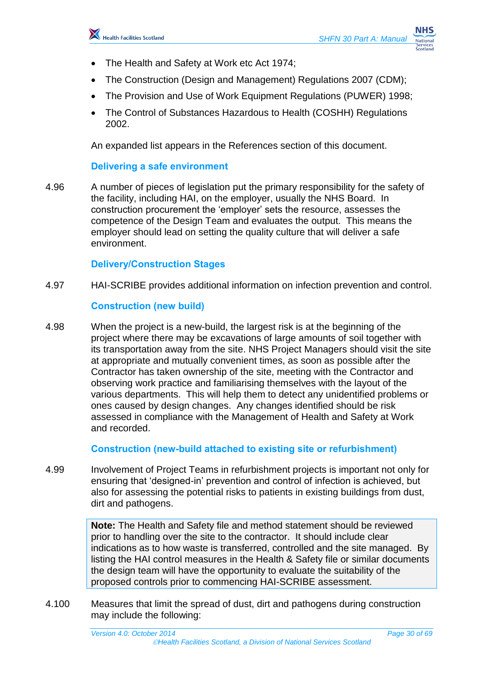

- The Health and Safety at Work etc Act 1974;
- The Construction (Design and Management) Regulations 2007 (CDM);
- The Provision and Use of Work Equipment Regulations (PUWER) 1998;
- The Control of Substances Hazardous to Health (COSHH) Regulations 2002.

An expanded list appears in the References section of this document.

#### **Delivering a safe environment**

4.96 A number of pieces of legislation put the primary responsibility for the safety of the facility, including HAI, on the employer, usually the NHS Board. In construction procurement the 'employer' sets the resource, assesses the competence of the Design Team and evaluates the output. This means the employer should lead on setting the quality culture that will deliver a safe environment.

#### **Delivery/Construction Stages**

4.97 HAI-SCRIBE provides additional information on infection prevention and control.

#### **Construction (new build)**

4.98 When the project is a new-build, the largest risk is at the beginning of the project where there may be excavations of large amounts of soil together with its transportation away from the site. NHS Project Managers should visit the site at appropriate and mutually convenient times, as soon as possible after the Contractor has taken ownership of the site, meeting with the Contractor and observing work practice and familiarising themselves with the layout of the various departments. This will help them to detect any unidentified problems or ones caused by design changes. Any changes identified should be risk assessed in compliance with the Management of Health and Safety at Work and recorded.

#### **Construction (new-build attached to existing site or refurbishment)**

4.99 Involvement of Project Teams in refurbishment projects is important not only for ensuring that 'designed-in' prevention and control of infection is achieved, but also for assessing the potential risks to patients in existing buildings from dust, dirt and pathogens.

> **Note:** The Health and Safety file and method statement should be reviewed prior to handling over the site to the contractor. It should include clear indications as to how waste is transferred, controlled and the site managed. By listing the HAI control measures in the Health & Safety file or similar documents the design team will have the opportunity to evaluate the suitability of the proposed controls prior to commencing HAI-SCRIBE assessment.

4.100 Measures that limit the spread of dust, dirt and pathogens during construction may include the following: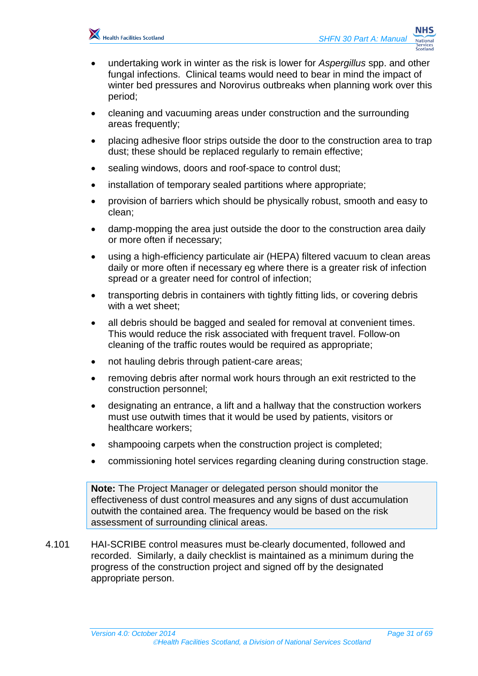

- undertaking work in winter as the risk is lower for *Aspergillus* spp. and other fungal infections. Clinical teams would need to bear in mind the impact of winter bed pressures and Norovirus outbreaks when planning work over this period;
- cleaning and vacuuming areas under construction and the surrounding areas frequently;
- placing adhesive floor strips outside the door to the construction area to trap dust; these should be replaced regularly to remain effective;
- sealing windows, doors and roof-space to control dust;
- installation of temporary sealed partitions where appropriate;
- provision of barriers which should be physically robust, smooth and easy to clean;
- damp-mopping the area just outside the door to the construction area daily or more often if necessary;
- using a high-efficiency particulate air (HEPA) filtered vacuum to clean areas daily or more often if necessary eg where there is a greater risk of infection spread or a greater need for control of infection;
- transporting debris in containers with tightly fitting lids, or covering debris with a wet sheet:
- all debris should be bagged and sealed for removal at convenient times. This would reduce the risk associated with frequent travel. Follow-on cleaning of the traffic routes would be required as appropriate;
- not hauling debris through patient-care areas;
- removing debris after normal work hours through an exit restricted to the construction personnel;
- designating an entrance, a lift and a hallway that the construction workers must use outwith times that it would be used by patients, visitors or healthcare workers;
- shampooing carpets when the construction project is completed;
- commissioning hotel services regarding cleaning during construction stage.

**Note:** The Project Manager or delegated person should monitor the effectiveness of dust control measures and any signs of dust accumulation outwith the contained area. The frequency would be based on the risk assessment of surrounding clinical areas.

4.101 HAI-SCRIBE control measures must be clearly documented, followed and recorded. Similarly, a daily checklist is maintained as a minimum during the progress of the construction project and signed off by the designated appropriate person.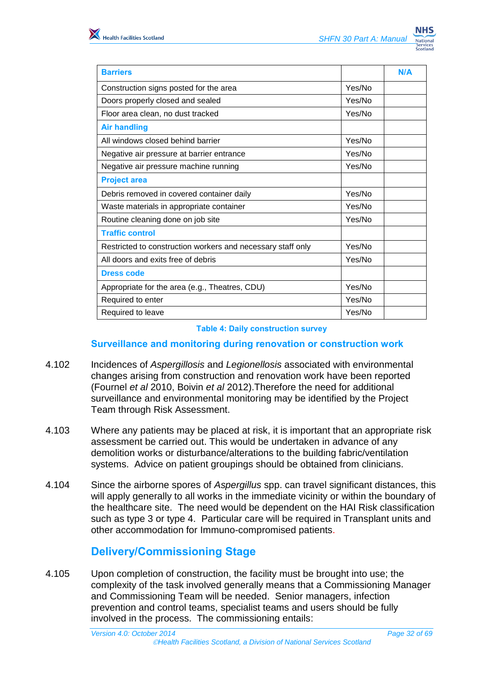| <b>Barriers</b>                                             |        | N/A |
|-------------------------------------------------------------|--------|-----|
| Construction signs posted for the area                      | Yes/No |     |
| Doors properly closed and sealed                            | Yes/No |     |
| Floor area clean, no dust tracked                           | Yes/No |     |
| <b>Air handling</b>                                         |        |     |
| All windows closed behind barrier                           | Yes/No |     |
| Negative air pressure at barrier entrance                   | Yes/No |     |
| Negative air pressure machine running                       | Yes/No |     |
| <b>Project area</b>                                         |        |     |
| Debris removed in covered container daily                   | Yes/No |     |
| Waste materials in appropriate container                    | Yes/No |     |
| Routine cleaning done on job site                           | Yes/No |     |
| <b>Traffic control</b>                                      |        |     |
| Restricted to construction workers and necessary staff only | Yes/No |     |
| All doors and exits free of debris                          | Yes/No |     |
| <b>Dress code</b>                                           |        |     |
| Appropriate for the area (e.g., Theatres, CDU)              | Yes/No |     |
| Required to enter                                           | Yes/No |     |
| Required to leave                                           | Yes/No |     |

#### **Table 4: Daily construction survey**

#### **Surveillance and monitoring during renovation or construction work**

- 4.102 Incidences of *Aspergillosis* and *Legionellosis* associated with environmental changes arising from construction and renovation work have been reported (Fournel *et al* 2010, Boivin *et al* 2012).Therefore the need for additional surveillance and environmental monitoring may be identified by the Project Team through Risk Assessment.
- 4.103 Where any patients may be placed at risk, it is important that an appropriate risk assessment be carried out. This would be undertaken in advance of any demolition works or disturbance/alterations to the building fabric/ventilation systems. Advice on patient groupings should be obtained from clinicians.
- 4.104 Since the airborne spores of *Aspergillus* spp. can travel significant distances, this will apply generally to all works in the immediate vicinity or within the boundary of the healthcare site. The need would be dependent on the HAI Risk classification such as type 3 or type 4. Particular care will be required in Transplant units and other accommodation for Immuno-compromised patients.

## <span id="page-31-0"></span>**Delivery/Commissioning Stage**

4.105 Upon completion of construction, the facility must be brought into use; the complexity of the task involved generally means that a Commissioning Manager and Commissioning Team will be needed. Senior managers, infection prevention and control teams, specialist teams and users should be fully involved in the process. The commissioning entails: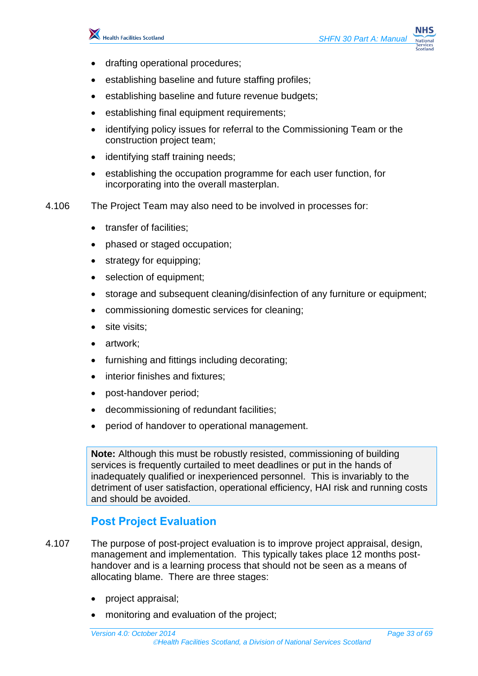

- drafting operational procedures;
- establishing baseline and future staffing profiles;
- establishing baseline and future revenue budgets;
- establishing final equipment requirements;
- identifying policy issues for referral to the Commissioning Team or the construction project team;
- identifying staff training needs;
- establishing the occupation programme for each user function, for incorporating into the overall masterplan.
- 4.106 The Project Team may also need to be involved in processes for:
	- transfer of facilities;
	- phased or staged occupation;
	- strategy for equipping;
	- selection of equipment;
	- storage and subsequent cleaning/disinfection of any furniture or equipment;
	- commissioning domestic services for cleaning;
	- site visits;
	- artwork;
	- furnishing and fittings including decorating;
	- interior finishes and fixtures;
	- post-handover period;
	- decommissioning of redundant facilities;
	- period of handover to operational management.

**Note:** Although this must be robustly resisted, commissioning of building services is frequently curtailed to meet deadlines or put in the hands of inadequately qualified or inexperienced personnel. This is invariably to the detriment of user satisfaction, operational efficiency, HAI risk and running costs and should be avoided.

## <span id="page-32-0"></span>**Post Project Evaluation**

- 4.107 The purpose of post-project evaluation is to improve project appraisal, design, management and implementation. This typically takes place 12 months posthandover and is a learning process that should not be seen as a means of allocating blame. There are three stages:
	- project appraisal;
	- monitoring and evaluation of the project;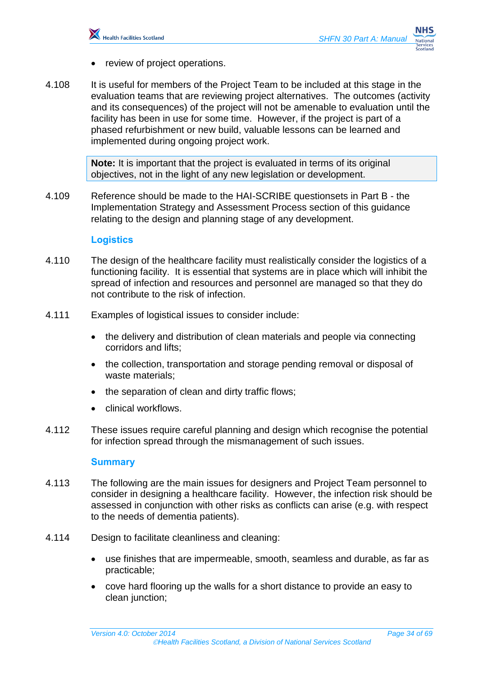

- review of project operations.
- 4.108 It is useful for members of the Project Team to be included at this stage in the evaluation teams that are reviewing project alternatives. The outcomes (activity and its consequences) of the project will not be amenable to evaluation until the facility has been in use for some time. However, if the project is part of a phased refurbishment or new build, valuable lessons can be learned and implemented during ongoing project work.

**Note:** It is important that the project is evaluated in terms of its original objectives, not in the light of any new legislation or development.

4.109 Reference should be made to the HAI-SCRIBE questionsets in Part B - the Implementation Strategy and Assessment Process section of this guidance relating to the design and planning stage of any development.

#### **Logistics**

- 4.110 The design of the healthcare facility must realistically consider the logistics of a functioning facility. It is essential that systems are in place which will inhibit the spread of infection and resources and personnel are managed so that they do not contribute to the risk of infection.
- 4.111 Examples of logistical issues to consider include:
	- the delivery and distribution of clean materials and people via connecting corridors and lifts;
	- the collection, transportation and storage pending removal or disposal of waste materials;
	- the separation of clean and dirty traffic flows;
	- clinical workflows.
- 4.112 These issues require careful planning and design which recognise the potential for infection spread through the mismanagement of such issues.

#### **Summary**

- 4.113 The following are the main issues for designers and Project Team personnel to consider in designing a healthcare facility. However, the infection risk should be assessed in conjunction with other risks as conflicts can arise (e.g. with respect to the needs of dementia patients).
- 4.114 Design to facilitate cleanliness and cleaning:
	- use finishes that are impermeable, smooth, seamless and durable, as far as practicable;
	- cove hard flooring up the walls for a short distance to provide an easy to clean junction;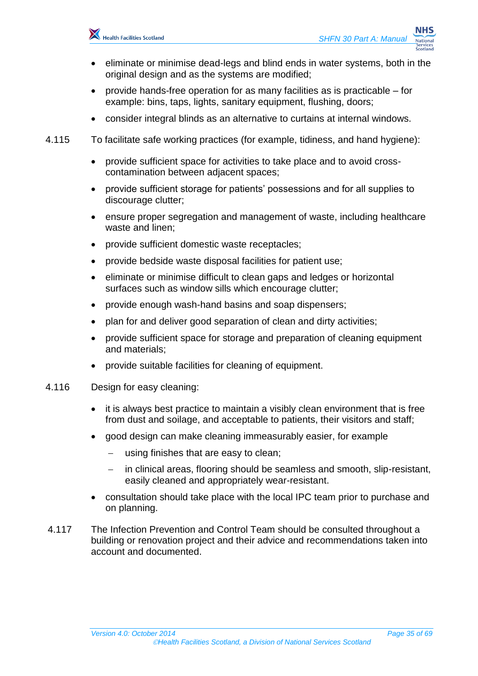

- eliminate or minimise dead-legs and blind ends in water systems, both in the original design and as the systems are modified;
- provide hands-free operation for as many facilities as is practicable for example: bins, taps, lights, sanitary equipment, flushing, doors;
- consider integral blinds as an alternative to curtains at internal windows.
- 4.115 To facilitate safe working practices (for example, tidiness, and hand hygiene):
	- provide sufficient space for activities to take place and to avoid crosscontamination between adjacent spaces;
	- provide sufficient storage for patients' possessions and for all supplies to discourage clutter;
	- ensure proper segregation and management of waste, including healthcare waste and linen;
	- provide sufficient domestic waste receptacles;
	- provide bedside waste disposal facilities for patient use;
	- eliminate or minimise difficult to clean gaps and ledges or horizontal surfaces such as window sills which encourage clutter;
	- provide enough wash-hand basins and soap dispensers;
	- plan for and deliver good separation of clean and dirty activities;
	- provide sufficient space for storage and preparation of cleaning equipment and materials;
	- provide suitable facilities for cleaning of equipment.
- 4.116 Design for easy cleaning:
	- it is always best practice to maintain a visibly clean environment that is free from dust and soilage, and acceptable to patients, their visitors and staff;
	- good design can make cleaning immeasurably easier, for example
		- using finishes that are easy to clean;
		- in clinical areas, flooring should be seamless and smooth, slip-resistant, easily cleaned and appropriately wear-resistant.
	- consultation should take place with the local IPC team prior to purchase and on planning.
- 4.117 The Infection Prevention and Control Team should be consulted throughout a building or renovation project and their advice and recommendations taken into account and documented.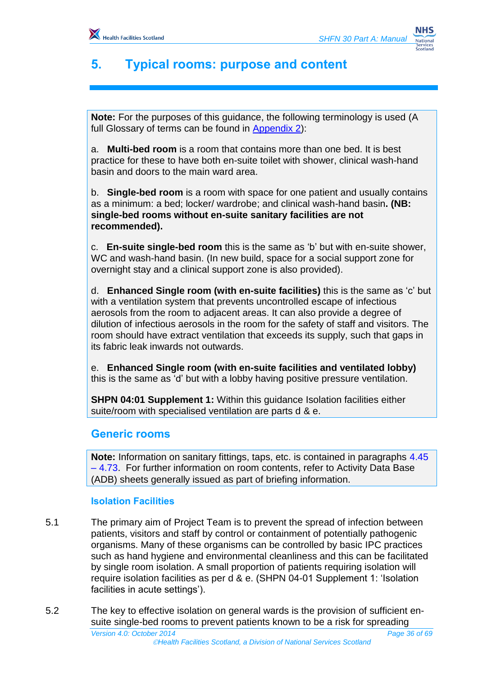# <span id="page-35-0"></span>**5. Typical rooms: purpose and content**

**Note:** For the purposes of this guidance, the following terminology is used (A full Glossary of terms can be found in [Appendix 2\)](#page-60-0):

a. **Multi-bed room** is a room that contains more than one bed. It is best practice for these to have both en-suite toilet with shower, clinical wash-hand basin and doors to the main ward area.

b. **Single-bed room** is a room with space for one patient and usually contains as a minimum: a bed; locker/ wardrobe; and clinical wash-hand basin**. (NB: single-bed rooms without en-suite sanitary facilities are not recommended).**

c. **En-suite single-bed room** this is the same as 'b' but with en-suite shower, WC and wash-hand basin. (In new build, space for a social support zone for overnight stay and a clinical support zone is also provided).

d. **Enhanced Single room (with en-suite facilities)** this is the same as 'c' but with a ventilation system that prevents uncontrolled escape of infectious aerosols from the room to adjacent areas. It can also provide a degree of dilution of infectious aerosols in the room for the safety of staff and visitors. The room should have extract ventilation that exceeds its supply, such that gaps in its fabric leak inwards not outwards.

e. **Enhanced Single room (with en-suite facilities and ventilated lobby)**  this is the same as 'd' but with a lobby having positive pressure ventilation.

**SHPN 04:01 Supplement 1:** Within this guidance Isolation facilities either suite/room with specialised ventilation are parts d & e.

## <span id="page-35-1"></span>**Generic rooms**

**Note:** Information on sanitary fittings, taps, etc. is contained in paragraphs 4.45 – 4.73. For further information on room contents, refer to Activity Data Base (ADB) sheets generally issued as part of briefing information.

#### **Isolation Facilities**

- 5.1 The primary aim of Project Team is to prevent the spread of infection between patients, visitors and staff by control or containment of potentially pathogenic organisms. Many of these organisms can be controlled by basic IPC practices such as hand hygiene and environmental cleanliness and this can be facilitated by single room isolation. A small proportion of patients requiring isolation will require isolation facilities as per d & e. (SHPN 04-01 Supplement 1: 'Isolation facilities in acute settings').
- *Version 4.0: October 2014 Page 36 of 69* 5.2 The key to effective isolation on general wards is the provision of sufficient ensuite single-bed rooms to prevent patients known to be a risk for spreading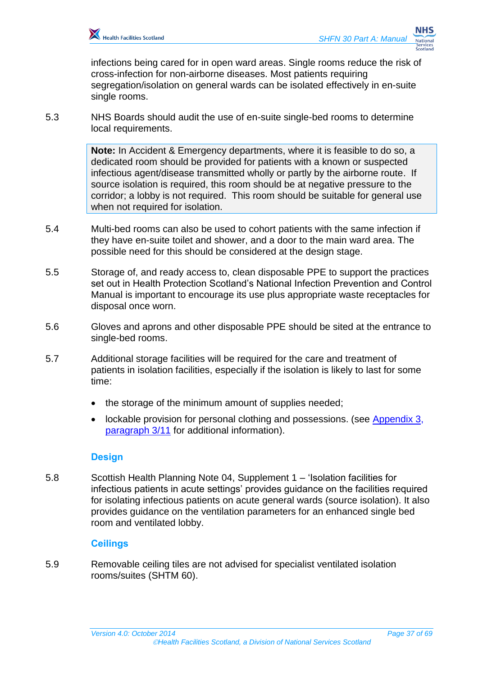

infections being cared for in open ward areas. Single rooms reduce the risk of cross-infection for non-airborne diseases. Most patients requiring segregation/isolation on general wards can be isolated effectively in en-suite single rooms.

5.3 NHS Boards should audit the use of en-suite single-bed rooms to determine local requirements.

> **Note:** In Accident & Emergency departments, where it is feasible to do so, a dedicated room should be provided for patients with a known or suspected infectious agent/disease transmitted wholly or partly by the airborne route. If source isolation is required, this room should be at negative pressure to the corridor; a lobby is not required. This room should be suitable for general use when not required for isolation.

- 5.4 Multi-bed rooms can also be used to cohort patients with the same infection if they have en-suite toilet and shower, and a door to the main ward area. The possible need for this should be considered at the design stage.
- 5.5 Storage of, and ready access to, clean disposable PPE to support the practices set out in Health Protection Scotland's National Infection Prevention and Control Manual is important to encourage its use plus appropriate waste receptacles for disposal once worn.
- 5.6 Gloves and aprons and other disposable PPE should be sited at the entrance to single-bed rooms.
- 5.7 Additional storage facilities will be required for the care and treatment of patients in isolation facilities, especially if the isolation is likely to last for some time:
	- the storage of the minimum amount of supplies needed;
	- lockable provision for personal clothing and possessions. (see [Appendix 3,](#page-63-0) [paragraph 3/11](#page-64-0) for additional information).

#### **Design**

<span id="page-36-0"></span>5.8 Scottish Health Planning Note 04, Supplement 1 – 'Isolation facilities for infectious patients in acute settings' provides guidance on the facilities required for isolating infectious patients on acute general wards (source isolation). It also provides guidance on the ventilation parameters for an enhanced single bed room and ventilated lobby.

#### **Ceilings**

5.9 Removable ceiling tiles are not advised for specialist ventilated isolation rooms/suites (SHTM 60).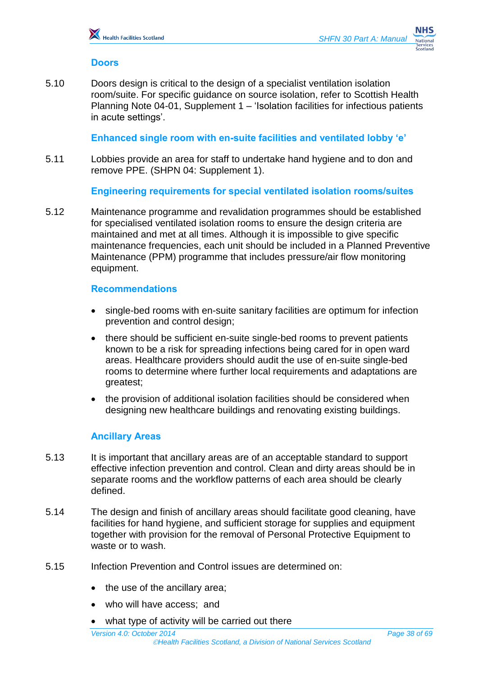#### **Doors**

5.10 Doors design is critical to the design of a specialist ventilation isolation room/suite. For specific guidance on source isolation, refer to Scottish Health Planning Note 04-01, Supplement 1 – 'Isolation facilities for infectious patients in acute settings'.

**Enhanced single room with en-suite facilities and ventilated lobby 'e'**

5.11 Lobbies provide an area for staff to undertake hand hygiene and to don and remove PPE. (SHPN 04: Supplement 1).

**Engineering requirements for special ventilated isolation rooms/suites**

<span id="page-37-0"></span>5.12 Maintenance programme and revalidation programmes should be established for specialised ventilated isolation rooms to ensure the design criteria are maintained and met at all times. Although it is impossible to give specific maintenance frequencies, each unit should be included in a Planned Preventive Maintenance (PPM) programme that includes pressure/air flow monitoring equipment.

#### **Recommendations**

- single-bed rooms with en-suite sanitary facilities are optimum for infection prevention and control design;
- there should be sufficient en-suite single-bed rooms to prevent patients known to be a risk for spreading infections being cared for in open ward areas. Healthcare providers should audit the use of en-suite single-bed rooms to determine where further local requirements and adaptations are greatest;
- the provision of additional isolation facilities should be considered when designing new healthcare buildings and renovating existing buildings.

#### **Ancillary Areas**

- 5.13 It is important that ancillary areas are of an acceptable standard to support effective infection prevention and control. Clean and dirty areas should be in separate rooms and the workflow patterns of each area should be clearly defined.
- 5.14 The design and finish of ancillary areas should facilitate good cleaning, have facilities for hand hygiene, and sufficient storage for supplies and equipment together with provision for the removal of Personal Protective Equipment to waste or to wash.
- 5.15 Infection Prevention and Control issues are determined on:
	- the use of the ancillary area;
	- who will have access; and
	- what type of activity will be carried out there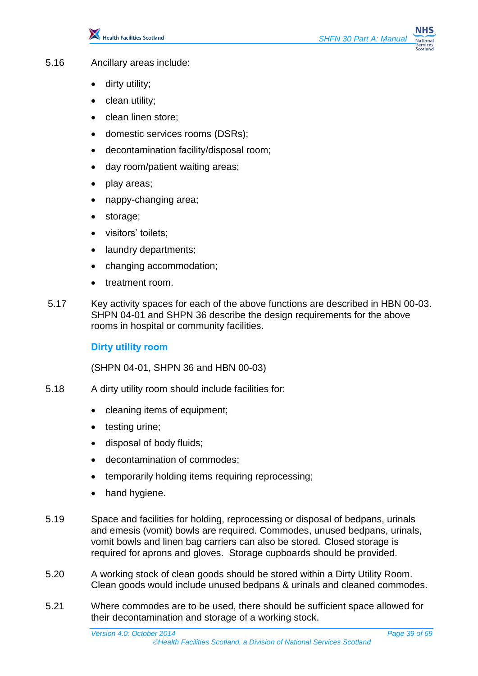

- 5.16 Ancillary areas include:
	- dirty utility;
	- clean utility;
	- clean linen store;
	- domestic services rooms (DSRs);
	- decontamination facility/disposal room;
	- day room/patient waiting areas;
	- play areas;
	- nappy-changing area;
	- storage;
	- visitors' toilets;
	- laundry departments;
	- changing accommodation;
	- treatment room.
- 5.17 Key activity spaces for each of the above functions are described in HBN 00-03. SHPN 04-01 and SHPN 36 describe the design requirements for the above rooms in hospital or community facilities.

#### **Dirty utility room**

(SHPN 04-01, SHPN 36 and HBN 00-03)

- 5.18 A dirty utility room should include facilities for:
	- cleaning items of equipment;
	- testing urine;
	- disposal of body fluids;
	- decontamination of commodes;
	- temporarily holding items requiring reprocessing;
	- hand hygiene.
- 5.19 Space and facilities for holding, reprocessing or disposal of bedpans, urinals and emesis (vomit) bowls are required. Commodes, unused bedpans, urinals, vomit bowls and linen bag carriers can also be stored. Closed storage is required for aprons and gloves. Storage cupboards should be provided.
- 5.20 A working stock of clean goods should be stored within a Dirty Utility Room. Clean goods would include unused bedpans & urinals and cleaned commodes.
- 5.21 Where commodes are to be used, there should be sufficient space allowed for their decontamination and storage of a working stock.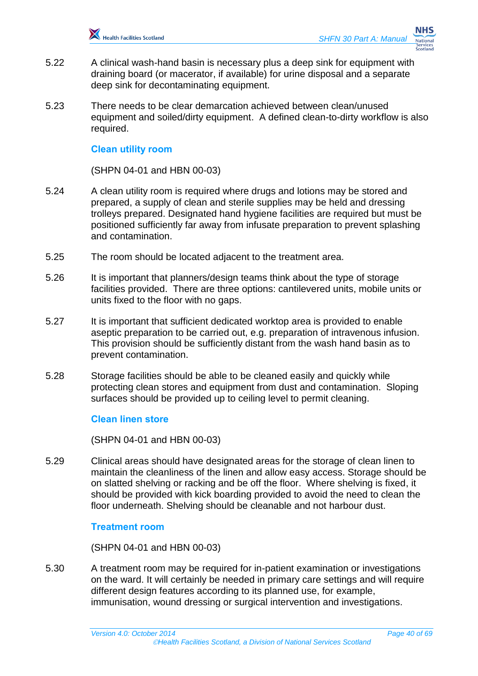

- 5.22 A clinical wash-hand basin is necessary plus a deep sink for equipment with draining board (or macerator, if available) for urine disposal and a separate deep sink for decontaminating equipment.
- 5.23 There needs to be clear demarcation achieved between clean/unused equipment and soiled/dirty equipment. A defined clean-to-dirty workflow is also required.

#### **Clean utility room**

(SHPN 04-01 and HBN 00-03)

- 5.24 A clean utility room is required where drugs and lotions may be stored and prepared, a supply of clean and sterile supplies may be held and dressing trolleys prepared. Designated hand hygiene facilities are required but must be positioned sufficiently far away from infusate preparation to prevent splashing and contamination.
- 5.25 The room should be located adjacent to the treatment area.
- 5.26 It is important that planners/design teams think about the type of storage facilities provided. There are three options: cantilevered units, mobile units or units fixed to the floor with no gaps.
- 5.27 It is important that sufficient dedicated worktop area is provided to enable aseptic preparation to be carried out, e.g. preparation of intravenous infusion. This provision should be sufficiently distant from the wash hand basin as to prevent contamination.
- 5.28 Storage facilities should be able to be cleaned easily and quickly while protecting clean stores and equipment from dust and contamination. Sloping surfaces should be provided up to ceiling level to permit cleaning.

#### **Clean linen store**

(SHPN 04-01 and HBN 00-03)

5.29 Clinical areas should have designated areas for the storage of clean linen to maintain the cleanliness of the linen and allow easy access. Storage should be on slatted shelving or racking and be off the floor. Where shelving is fixed, it should be provided with kick boarding provided to avoid the need to clean the floor underneath. Shelving should be cleanable and not harbour dust.

#### **Treatment room**

(SHPN 04-01 and HBN 00-03)

5.30 A treatment room may be required for in-patient examination or investigations on the ward. It will certainly be needed in primary care settings and will require different design features according to its planned use, for example, immunisation, wound dressing or surgical intervention and investigations.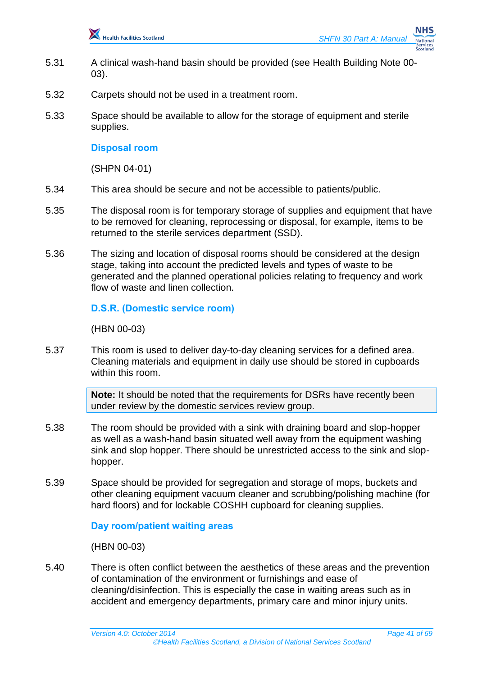

- 5.31 A clinical wash-hand basin should be provided (see Health Building Note 00- 03).
- 5.32 Carpets should not be used in a treatment room.
- 5.33 Space should be available to allow for the storage of equipment and sterile supplies.

#### **Disposal room**

(SHPN 04-01)

- 5.34 This area should be secure and not be accessible to patients/public.
- 5.35 The disposal room is for temporary storage of supplies and equipment that have to be removed for cleaning, reprocessing or disposal, for example, items to be returned to the sterile services department (SSD).
- 5.36 The sizing and location of disposal rooms should be considered at the design stage, taking into account the predicted levels and types of waste to be generated and the planned operational policies relating to frequency and work flow of waste and linen collection.

#### **D.S.R. (Domestic service room)**

(HBN 00-03)

5.37 This room is used to deliver day-to-day cleaning services for a defined area. Cleaning materials and equipment in daily use should be stored in cupboards within this room.

> **Note:** It should be noted that the requirements for DSRs have recently been under review by the domestic services review group.

- 5.38 The room should be provided with a sink with draining board and slop-hopper as well as a wash-hand basin situated well away from the equipment washing sink and slop hopper. There should be unrestricted access to the sink and slophopper.
- 5.39 Space should be provided for segregation and storage of mops, buckets and other cleaning equipment vacuum cleaner and scrubbing/polishing machine (for hard floors) and for lockable COSHH cupboard for cleaning supplies.

**Day room/patient waiting areas** 

(HBN 00-03)

5.40 There is often conflict between the aesthetics of these areas and the prevention of contamination of the environment or furnishings and ease of cleaning/disinfection. This is especially the case in waiting areas such as in accident and emergency departments, primary care and minor injury units.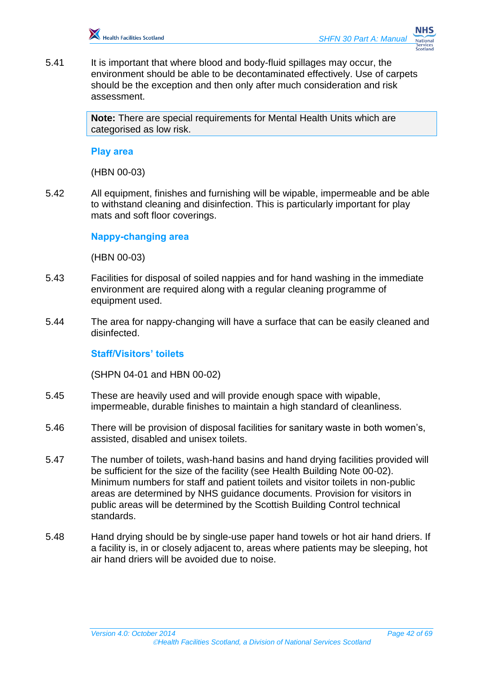

5.41 It is important that where blood and body-fluid spillages may occur, the environment should be able to be decontaminated effectively. Use of carpets should be the exception and then only after much consideration and risk assessment.

> **Note:** There are special requirements for Mental Health Units which are categorised as low risk.

#### **Play area**

(HBN 00-03)

5.42 All equipment, finishes and furnishing will be wipable, impermeable and be able to withstand cleaning and disinfection. This is particularly important for play mats and soft floor coverings.

**Nappy-changing area** 

(HBN 00-03)

- 5.43 Facilities for disposal of soiled nappies and for hand washing in the immediate environment are required along with a regular cleaning programme of equipment used.
- 5.44 The area for nappy-changing will have a surface that can be easily cleaned and disinfected.

#### **Staff/Visitors' toilets**

(SHPN 04-01 and HBN 00-02)

- 5.45 These are heavily used and will provide enough space with wipable, impermeable, durable finishes to maintain a high standard of cleanliness.
- 5.46 There will be provision of disposal facilities for sanitary waste in both women's, assisted, disabled and unisex toilets.
- 5.47 The number of toilets, wash-hand basins and hand drying facilities provided will be sufficient for the size of the facility (see Health Building Note 00-02). Minimum numbers for staff and patient toilets and visitor toilets in non-public areas are determined by NHS guidance documents. Provision for visitors in public areas will be determined by the Scottish Building Control technical standards.
- 5.48 Hand drying should be by single-use paper hand towels or hot air hand driers. If a facility is, in or closely adjacent to, areas where patients may be sleeping, hot air hand driers will be avoided due to noise.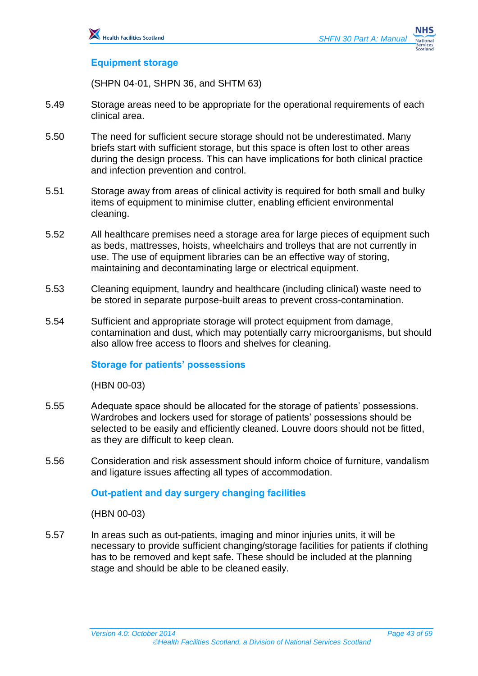#### **Equipment storage**

(SHPN 04-01, SHPN 36, and SHTM 63)

- 5.49 Storage areas need to be appropriate for the operational requirements of each clinical area.
- 5.50 The need for sufficient secure storage should not be underestimated. Many briefs start with sufficient storage, but this space is often lost to other areas during the design process. This can have implications for both clinical practice and infection prevention and control.
- 5.51 Storage away from areas of clinical activity is required for both small and bulky items of equipment to minimise clutter, enabling efficient environmental cleaning.
- 5.52 All healthcare premises need a storage area for large pieces of equipment such as beds, mattresses, hoists, wheelchairs and trolleys that are not currently in use. The use of equipment libraries can be an effective way of storing, maintaining and decontaminating large or electrical equipment.
- 5.53 Cleaning equipment, laundry and healthcare (including clinical) waste need to be stored in separate purpose-built areas to prevent cross-contamination.
- 5.54 Sufficient and appropriate storage will protect equipment from damage, contamination and dust, which may potentially carry microorganisms, but should also allow free access to floors and shelves for cleaning.

#### **Storage for patients' possessions**

(HBN 00-03)

- 5.55 Adequate space should be allocated for the storage of patients' possessions. Wardrobes and lockers used for storage of patients' possessions should be selected to be easily and efficiently cleaned. Louvre doors should not be fitted, as they are difficult to keep clean.
- 5.56 Consideration and risk assessment should inform choice of furniture, vandalism and ligature issues affecting all types of accommodation.

#### **Out-patient and day surgery changing facilities**

(HBN 00-03)

5.57 In areas such as out-patients, imaging and minor injuries units, it will be necessary to provide sufficient changing/storage facilities for patients if clothing has to be removed and kept safe. These should be included at the planning stage and should be able to be cleaned easily.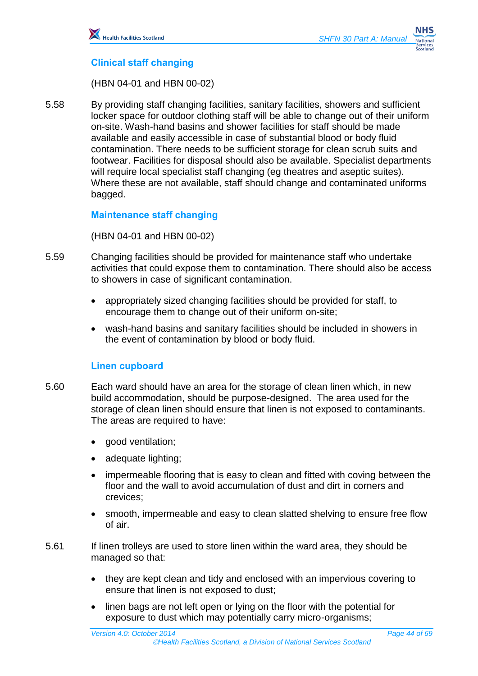## **Clinical staff changing**

(HBN 04-01 and HBN 00-02)

5.58 By providing staff changing facilities, sanitary facilities, showers and sufficient locker space for outdoor clothing staff will be able to change out of their uniform on-site. Wash-hand basins and shower facilities for staff should be made available and easily accessible in case of substantial blood or body fluid contamination. There needs to be sufficient storage for clean scrub suits and footwear. Facilities for disposal should also be available. Specialist departments will require local specialist staff changing (eg theatres and aseptic suites). Where these are not available, staff should change and contaminated uniforms bagged.

#### **Maintenance staff changing**

(HBN 04-01 and HBN 00-02)

- 5.59 Changing facilities should be provided for maintenance staff who undertake activities that could expose them to contamination. There should also be access to showers in case of significant contamination.
	- appropriately sized changing facilities should be provided for staff, to encourage them to change out of their uniform on-site;
	- wash-hand basins and sanitary facilities should be included in showers in the event of contamination by blood or body fluid.

#### **Linen cupboard**

- 5.60 Each ward should have an area for the storage of clean linen which, in new build accommodation, should be purpose-designed. The area used for the storage of clean linen should ensure that linen is not exposed to contaminants. The areas are required to have:
	- good ventilation;
	- adequate lighting;
	- impermeable flooring that is easy to clean and fitted with coving between the floor and the wall to avoid accumulation of dust and dirt in corners and crevices;
	- smooth, impermeable and easy to clean slatted shelving to ensure free flow of air.
- 5.61 If linen trolleys are used to store linen within the ward area, they should be managed so that:
	- they are kept clean and tidy and enclosed with an impervious covering to ensure that linen is not exposed to dust;
	- linen bags are not left open or lying on the floor with the potential for exposure to dust which may potentially carry micro-organisms;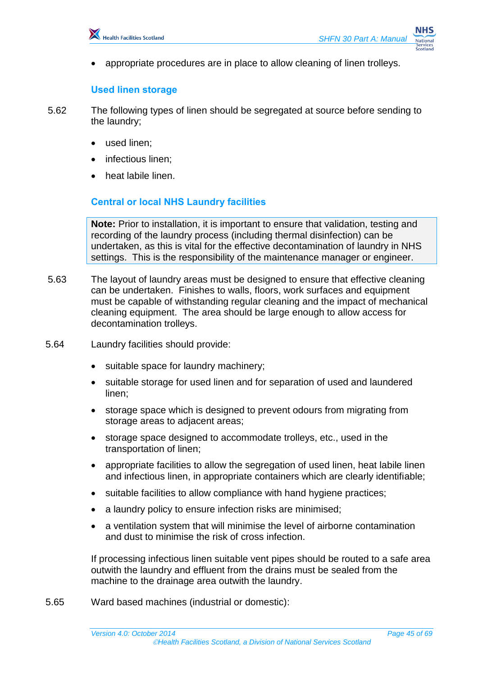appropriate procedures are in place to allow cleaning of linen trolleys.

#### **Used linen storage**

5.62 The following types of linen should be segregated at source before sending to the laundry;

- used linen;
- infectious linen;
- heat labile linen.

#### **Central or local NHS Laundry facilities**

**Note:** Prior to installation, it is important to ensure that validation, testing and recording of the laundry process (including thermal disinfection) can be undertaken, as this is vital for the effective decontamination of laundry in NHS settings. This is the responsibility of the maintenance manager or engineer.

5.63 The layout of laundry areas must be designed to ensure that effective cleaning can be undertaken. Finishes to walls, floors, work surfaces and equipment must be capable of withstanding regular cleaning and the impact of mechanical cleaning equipment. The area should be large enough to allow access for decontamination trolleys.

#### 5.64 Laundry facilities should provide:

- suitable space for laundry machinery;
- suitable storage for used linen and for separation of used and laundered linen;
- storage space which is designed to prevent odours from migrating from storage areas to adjacent areas;
- storage space designed to accommodate trolleys, etc., used in the transportation of linen;
- appropriate facilities to allow the segregation of used linen, heat labile linen and infectious linen, in appropriate containers which are clearly identifiable;
- suitable facilities to allow compliance with hand hygiene practices;
- a laundry policy to ensure infection risks are minimised;
- a ventilation system that will minimise the level of airborne contamination and dust to minimise the risk of cross infection.

If processing infectious linen suitable vent pipes should be routed to a safe area outwith the laundry and effluent from the drains must be sealed from the machine to the drainage area outwith the laundry.

5.65 Ward based machines (industrial or domestic):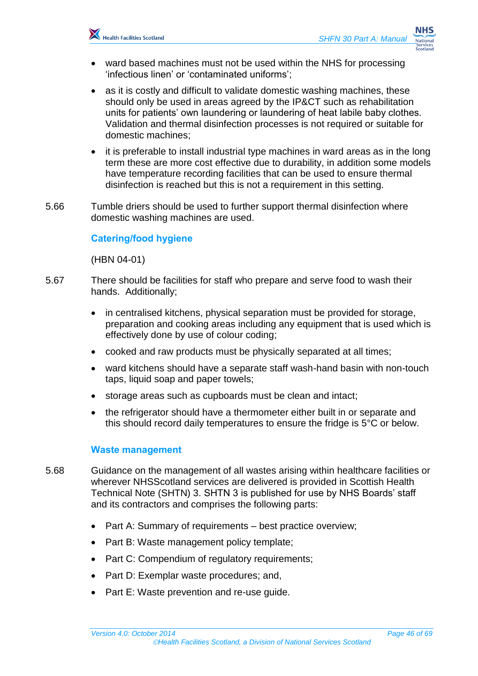

- ward based machines must not be used within the NHS for processing 'infectious linen' or 'contaminated uniforms';
- as it is costly and difficult to validate domestic washing machines, these should only be used in areas agreed by the IP&CT such as rehabilitation units for patients' own laundering or laundering of heat labile baby clothes. Validation and thermal disinfection processes is not required or suitable for domestic machines;
- it is preferable to install industrial type machines in ward areas as in the long term these are more cost effective due to durability, in addition some models have temperature recording facilities that can be used to ensure thermal disinfection is reached but this is not a requirement in this setting.
- 5.66 Tumble driers should be used to further support thermal disinfection where domestic washing machines are used.

#### **Catering/food hygiene**

(HBN 04-01)

- 5.67 There should be facilities for staff who prepare and serve food to wash their hands. Additionally;
	- in centralised kitchens, physical separation must be provided for storage, preparation and cooking areas including any equipment that is used which is effectively done by use of colour coding;
	- cooked and raw products must be physically separated at all times;
	- ward kitchens should have a separate staff wash-hand basin with non-touch taps, liquid soap and paper towels;
	- storage areas such as cupboards must be clean and intact;
	- the refrigerator should have a thermometer either built in or separate and this should record daily temperatures to ensure the fridge is 5°C or below.

#### **Waste management**

- 5.68 Guidance on the management of all wastes arising within healthcare facilities or wherever NHSScotland services are delivered is provided in Scottish Health Technical Note (SHTN) 3. SHTN 3 is published for use by NHS Boards' staff and its contractors and comprises the following parts:
	- Part A: Summary of requirements best practice overview;
	- Part B: Waste management policy template;
	- Part C: Compendium of regulatory requirements;
	- Part D: Exemplar waste procedures; and,
	- Part E: Waste prevention and re-use guide.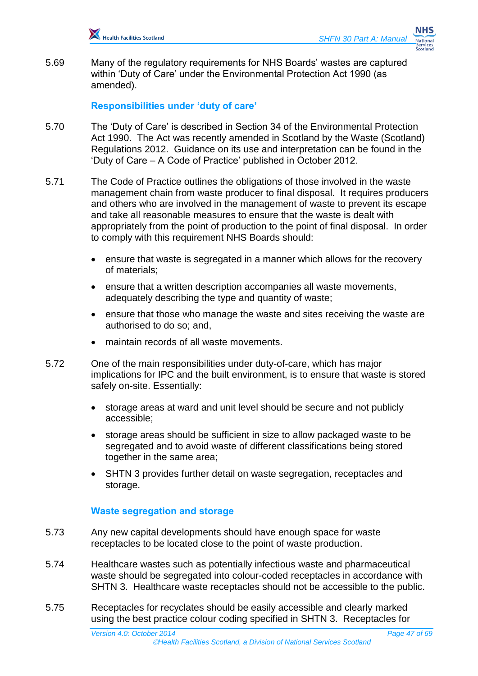5.69 Many of the regulatory requirements for NHS Boards' wastes are captured within 'Duty of Care' under the Environmental Protection Act 1990 (as amended).

#### **Responsibilities under 'duty of care'**

- 5.70 The 'Duty of Care' is described in Section 34 of the Environmental Protection Act 1990. The Act was recently amended in Scotland by the Waste (Scotland) Regulations 2012. Guidance on its use and interpretation can be found in the 'Duty of Care – A Code of Practice' published in October 2012.
- 5.71 The Code of Practice outlines the obligations of those involved in the waste management chain from waste producer to final disposal. It requires producers and others who are involved in the management of waste to prevent its escape and take all reasonable measures to ensure that the waste is dealt with appropriately from the point of production to the point of final disposal. In order to comply with this requirement NHS Boards should:
	- ensure that waste is segregated in a manner which allows for the recovery of materials;
	- ensure that a written description accompanies all waste movements, adequately describing the type and quantity of waste;
	- ensure that those who manage the waste and sites receiving the waste are authorised to do so; and,
	- maintain records of all waste movements.
- 5.72 One of the main responsibilities under duty-of-care, which has major implications for IPC and the built environment, is to ensure that waste is stored safely on-site. Essentially:
	- storage areas at ward and unit level should be secure and not publicly accessible;
	- storage areas should be sufficient in size to allow packaged waste to be segregated and to avoid waste of different classifications being stored together in the same area;
	- SHTN 3 provides further detail on waste segregation, receptacles and storage.

#### **Waste segregation and storage**

- 5.73 Any new capital developments should have enough space for waste receptacles to be located close to the point of waste production.
- 5.74 Healthcare wastes such as potentially infectious waste and pharmaceutical waste should be segregated into colour-coded receptacles in accordance with SHTN 3. Healthcare waste receptacles should not be accessible to the public.
- 5.75 Receptacles for recyclates should be easily accessible and clearly marked using the best practice colour coding specified in SHTN 3. Receptacles for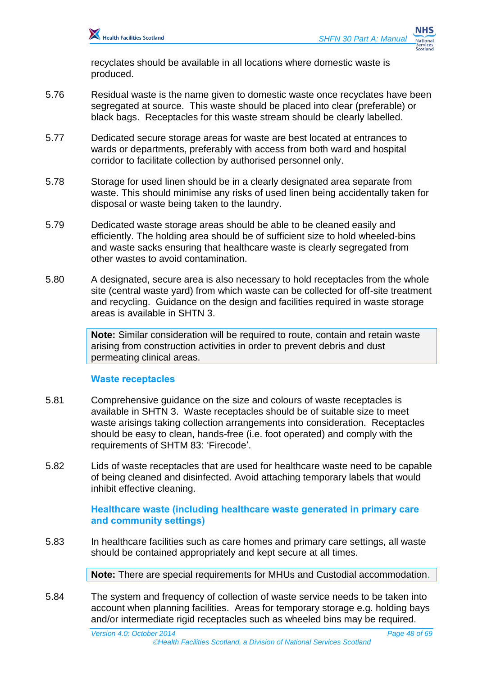recyclates should be available in all locations where domestic waste is produced.

- 5.76 Residual waste is the name given to domestic waste once recyclates have been segregated at source. This waste should be placed into clear (preferable) or black bags. Receptacles for this waste stream should be clearly labelled.
- 5.77 Dedicated secure storage areas for waste are best located at entrances to wards or departments, preferably with access from both ward and hospital corridor to facilitate collection by authorised personnel only.
- 5.78 Storage for used linen should be in a clearly designated area separate from waste. This should minimise any risks of used linen being accidentally taken for disposal or waste being taken to the laundry.
- 5.79 Dedicated waste storage areas should be able to be cleaned easily and efficiently. The holding area should be of sufficient size to hold wheeled-bins and waste sacks ensuring that healthcare waste is clearly segregated from other wastes to avoid contamination.
- 5.80 A designated, secure area is also necessary to hold receptacles from the whole site (central waste yard) from which waste can be collected for off-site treatment and recycling. Guidance on the design and facilities required in waste storage areas is available in SHTN 3.

**Note:** Similar consideration will be required to route, contain and retain waste arising from construction activities in order to prevent debris and dust permeating clinical areas.

#### **Waste receptacles**

- 5.81 Comprehensive guidance on the size and colours of waste receptacles is available in SHTN 3. Waste receptacles should be of suitable size to meet waste arisings taking collection arrangements into consideration. Receptacles should be easy to clean, hands-free (i.e. foot operated) and comply with the requirements of SHTM 83: 'Firecode'.
- 5.82 Lids of waste receptacles that are used for healthcare waste need to be capable of being cleaned and disinfected. Avoid attaching temporary labels that would inhibit effective cleaning.

**Healthcare waste (including healthcare waste generated in primary care and community settings)**

5.83 In healthcare facilities such as care homes and primary care settings, all waste should be contained appropriately and kept secure at all times.

**Note:** There are special requirements for MHUs and Custodial accommodation.

5.84 The system and frequency of collection of waste service needs to be taken into account when planning facilities. Areas for temporary storage e.g. holding bays and/or intermediate rigid receptacles such as wheeled bins may be required.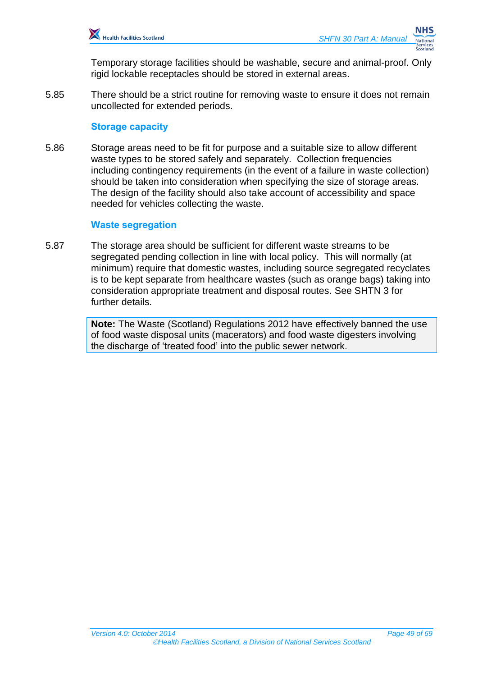Temporary storage facilities should be washable, secure and animal-proof. Only rigid lockable receptacles should be stored in external areas.

5.85 There should be a strict routine for removing waste to ensure it does not remain uncollected for extended periods.

#### **Storage capacity**

5.86 Storage areas need to be fit for purpose and a suitable size to allow different waste types to be stored safely and separately. Collection frequencies including contingency requirements (in the event of a failure in waste collection) should be taken into consideration when specifying the size of storage areas. The design of the facility should also take account of accessibility and space needed for vehicles collecting the waste.

#### **Waste segregation**

5.87 The storage area should be sufficient for different waste streams to be segregated pending collection in line with local policy. This will normally (at minimum) require that domestic wastes, including source segregated recyclates is to be kept separate from healthcare wastes (such as orange bags) taking into consideration appropriate treatment and disposal routes. See SHTN 3 for further details.

> **Note:** The Waste (Scotland) Regulations 2012 have effectively banned the use of food waste disposal units (macerators) and food waste digesters involving the discharge of 'treated food' into the public sewer network.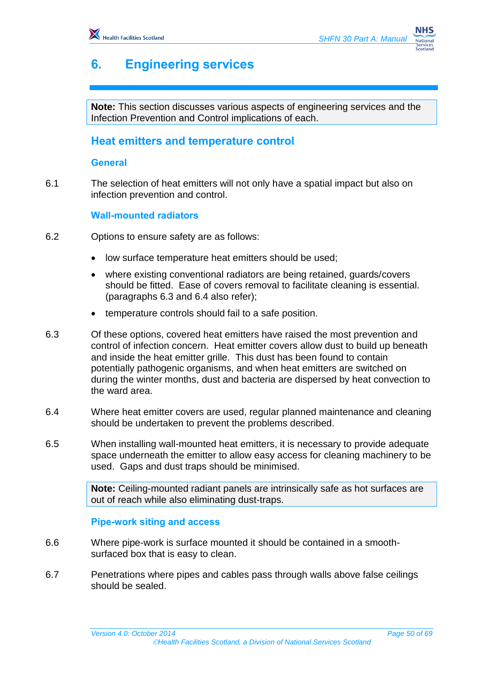# <span id="page-49-0"></span>**6. Engineering services**

**Note:** This section discusses various aspects of engineering services and the Infection Prevention and Control implications of each.

## <span id="page-49-1"></span>**Heat emitters and temperature control**

#### **General**

6.1 The selection of heat emitters will not only have a spatial impact but also on infection prevention and control.

#### **Wall-mounted radiators**

- 6.2 Options to ensure safety are as follows:
	- low surface temperature heat emitters should be used;
	- where existing conventional radiators are being retained, guards/covers should be fitted. Ease of covers removal to facilitate cleaning is essential. (paragraphs 6.3 and 6.4 also refer);
	- temperature controls should fail to a safe position.
- 6.3 Of these options, covered heat emitters have raised the most prevention and control of infection concern. Heat emitter covers allow dust to build up beneath and inside the heat emitter grille. This dust has been found to contain potentially pathogenic organisms, and when heat emitters are switched on during the winter months, dust and bacteria are dispersed by heat convection to the ward area.
- 6.4 Where heat emitter covers are used, regular planned maintenance and cleaning should be undertaken to prevent the problems described.
- 6.5 When installing wall-mounted heat emitters, it is necessary to provide adequate space underneath the emitter to allow easy access for cleaning machinery to be used. Gaps and dust traps should be minimised.

**Note:** Ceiling-mounted radiant panels are intrinsically safe as hot surfaces are out of reach while also eliminating dust-traps.

#### **Pipe-work siting and access**

- 6.6 Where pipe-work is surface mounted it should be contained in a smoothsurfaced box that is easy to clean.
- 6.7 Penetrations where pipes and cables pass through walls above false ceilings should be sealed.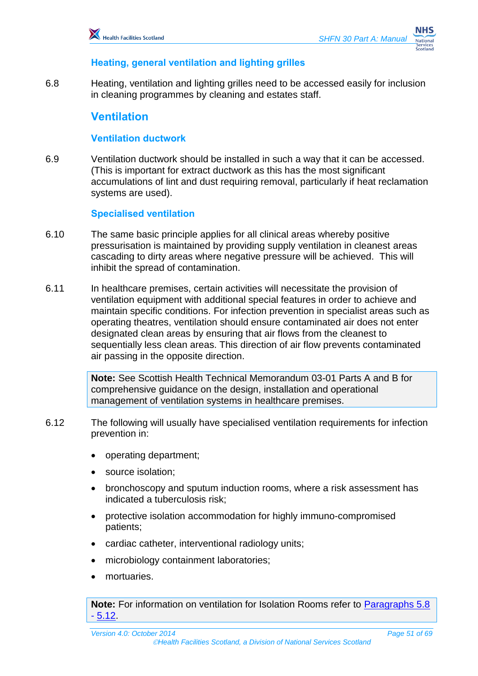#### **Heating, general ventilation and lighting grilles**

6.8 Heating, ventilation and lighting grilles need to be accessed easily for inclusion in cleaning programmes by cleaning and estates staff.

## <span id="page-50-0"></span>**Ventilation**

#### **Ventilation ductwork**

6.9 Ventilation ductwork should be installed in such a way that it can be accessed. (This is important for extract ductwork as this has the most significant accumulations of lint and dust requiring removal, particularly if heat reclamation systems are used).

#### **Specialised ventilation**

- 6.10 The same basic principle applies for all clinical areas whereby positive pressurisation is maintained by providing supply ventilation in cleanest areas cascading to dirty areas where negative pressure will be achieved. This will inhibit the spread of contamination.
- 6.11 In healthcare premises, certain activities will necessitate the provision of ventilation equipment with additional special features in order to achieve and maintain specific conditions. For infection prevention in specialist areas such as operating theatres, ventilation should ensure contaminated air does not enter designated clean areas by ensuring that air flows from the cleanest to sequentially less clean areas. This direction of air flow prevents contaminated air passing in the opposite direction.

**Note:** See Scottish Health Technical Memorandum 03-01 Parts A and B for comprehensive guidance on the design, installation and operational management of ventilation systems in healthcare premises.

- 6.12 The following will usually have specialised ventilation requirements for infection prevention in:
	- operating department;
	- source isolation;
	- bronchoscopy and sputum induction rooms, where a risk assessment has indicated a tuberculosis risk;
	- protective isolation accommodation for highly immuno-compromised patients;
	- cardiac catheter, interventional radiology units;
	- microbiology containment laboratories;
	- mortuaries.

**Note:** For information on ventilation for Isolation Rooms refer to [Paragraphs 5.8](#page-36-0) - [5.12.](#page-37-0)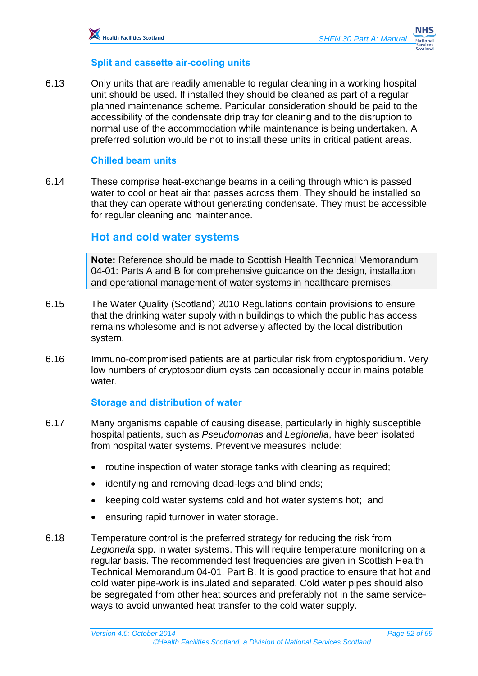#### **Split and cassette air-cooling units**

6.13 Only units that are readily amenable to regular cleaning in a working hospital unit should be used. If installed they should be cleaned as part of a regular planned maintenance scheme. Particular consideration should be paid to the accessibility of the condensate drip tray for cleaning and to the disruption to normal use of the accommodation while maintenance is being undertaken. A preferred solution would be not to install these units in critical patient areas.

#### **Chilled beam units**

6.14 These comprise heat-exchange beams in a ceiling through which is passed water to cool or heat air that passes across them. They should be installed so that they can operate without generating condensate. They must be accessible for regular cleaning and maintenance.

#### <span id="page-51-0"></span>**Hot and cold water systems**

**Note:** Reference should be made to Scottish Health Technical Memorandum 04-01: Parts A and B for comprehensive guidance on the design, installation and operational management of water systems in healthcare premises.

- 6.15 The Water Quality (Scotland) 2010 Regulations contain provisions to ensure that the drinking water supply within buildings to which the public has access remains wholesome and is not adversely affected by the local distribution system.
- 6.16 Immuno-compromised patients are at particular risk from cryptosporidium. Very low numbers of cryptosporidium cysts can occasionally occur in mains potable water.

#### **Storage and distribution of water**

- 6.17 Many organisms capable of causing disease, particularly in highly susceptible hospital patients, such as *Pseudomonas* and *Legionella*, have been isolated from hospital water systems. Preventive measures include:
	- routine inspection of water storage tanks with cleaning as required;
	- identifying and removing dead-legs and blind ends;
	- keeping cold water systems cold and hot water systems hot; and
	- ensuring rapid turnover in water storage.
- 6.18 Temperature control is the preferred strategy for reducing the risk from *Legionella* spp. in water systems. This will require temperature monitoring on a regular basis. The recommended test frequencies are given in Scottish Health Technical Memorandum 04-01, Part B. It is good practice to ensure that hot and cold water pipe-work is insulated and separated. Cold water pipes should also be segregated from other heat sources and preferably not in the same serviceways to avoid unwanted heat transfer to the cold water supply.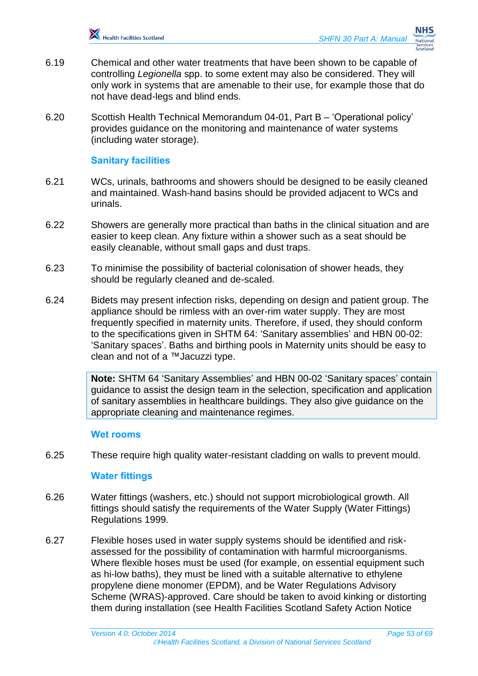

- 6.19 Chemical and other water treatments that have been shown to be capable of controlling *Legionella* spp. to some extent may also be considered. They will only work in systems that are amenable to their use, for example those that do not have dead-legs and blind ends.
- 6.20 Scottish Health Technical Memorandum 04-01, Part B 'Operational policy' provides guidance on the monitoring and maintenance of water systems (including water storage).

#### **Sanitary facilities**

- 6.21 WCs, urinals, bathrooms and showers should be designed to be easily cleaned and maintained. Wash-hand basins should be provided adjacent to WCs and urinals.
- 6.22 Showers are generally more practical than baths in the clinical situation and are easier to keep clean. Any fixture within a shower such as a seat should be easily cleanable, without small gaps and dust traps.
- 6.23 To minimise the possibility of bacterial colonisation of shower heads, they should be regularly cleaned and de-scaled.
- 6.24 Bidets may present infection risks, depending on design and patient group. The appliance should be rimless with an over-rim water supply. They are most frequently specified in maternity units. Therefore, if used, they should conform to the specifications given in SHTM 64: 'Sanitary assemblies' and HBN 00-02: 'Sanitary spaces'. Baths and birthing pools in Maternity units should be easy to clean and not of a ™Jacuzzi type.

**Note:** SHTM 64 'Sanitary Assemblies' and HBN 00-02 'Sanitary spaces' contain guidance to assist the design team in the selection, specification and application of sanitary assemblies in healthcare buildings. They also give guidance on the appropriate cleaning and maintenance regimes.

#### **Wet rooms**

6.25 These require high quality water-resistant cladding on walls to prevent mould.

#### **Water fittings**

- 6.26 Water fittings (washers, etc.) should not support microbiological growth. All fittings should satisfy the requirements of the Water Supply (Water Fittings) Regulations 1999.
- 6.27 Flexible hoses used in water supply systems should be identified and riskassessed for the possibility of contamination with harmful microorganisms. Where flexible hoses must be used (for example, on essential equipment such as hi-low baths), they must be lined with a suitable alternative to ethylene propylene diene monomer (EPDM), and be Water Regulations Advisory Scheme (WRAS)-approved. Care should be taken to avoid kinking or distorting them during installation (see Health Facilities Scotland Safety Action Notice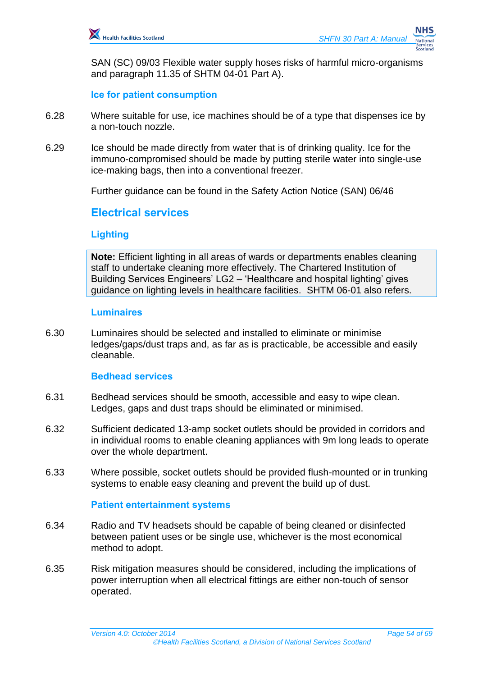SAN (SC) 09/03 Flexible water supply hoses risks of harmful micro-organisms and paragraph 11.35 of SHTM 04-01 Part A).

**Ice for patient consumption**

- 6.28 Where suitable for use, ice machines should be of a type that dispenses ice by a non-touch nozzle.
- 6.29 Ice should be made directly from water that is of drinking quality. Ice for the immuno-compromised should be made by putting sterile water into single-use ice-making bags, then into a conventional freezer.

Further guidance can be found in the Safety Action Notice (SAN) 06/46

## <span id="page-53-0"></span>**Electrical services**

#### **Lighting**

**Note:** Efficient lighting in all areas of wards or departments enables cleaning staff to undertake cleaning more effectively. The Chartered Institution of Building Services Engineers' LG2 – 'Healthcare and hospital lighting' gives guidance on lighting levels in healthcare facilities. SHTM 06-01 also refers.

#### **Luminaires**

6.30 Luminaires should be selected and installed to eliminate or minimise ledges/gaps/dust traps and, as far as is practicable, be accessible and easily cleanable.

#### **Bedhead services**

- 6.31 Bedhead services should be smooth, accessible and easy to wipe clean. Ledges, gaps and dust traps should be eliminated or minimised.
- 6.32 Sufficient dedicated 13-amp socket outlets should be provided in corridors and in individual rooms to enable cleaning appliances with 9m long leads to operate over the whole department.
- 6.33 Where possible, socket outlets should be provided flush-mounted or in trunking systems to enable easy cleaning and prevent the build up of dust.

#### **Patient entertainment systems**

- 6.34 Radio and TV headsets should be capable of being cleaned or disinfected between patient uses or be single use, whichever is the most economical method to adopt.
- 6.35 Risk mitigation measures should be considered, including the implications of power interruption when all electrical fittings are either non-touch of sensor operated.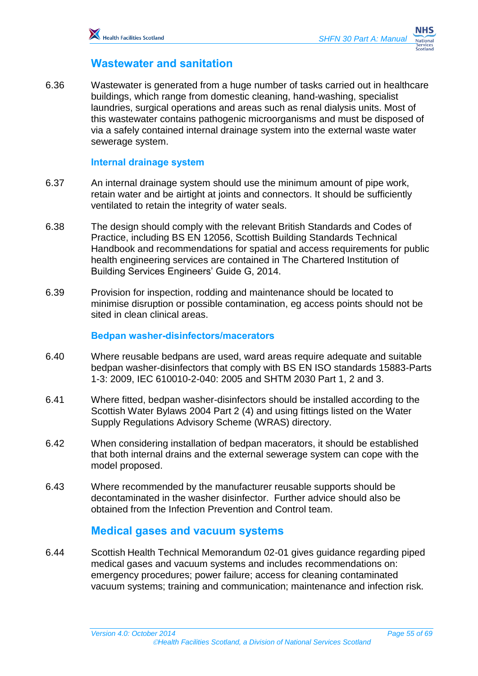## <span id="page-54-0"></span>**Wastewater and sanitation**

6.36 Wastewater is generated from a huge number of tasks carried out in healthcare buildings, which range from domestic cleaning, hand-washing, specialist laundries, surgical operations and areas such as renal dialysis units. Most of this wastewater contains pathogenic microorganisms and must be disposed of via a safely contained internal drainage system into the external waste water sewerage system.

#### **Internal drainage system**

- 6.37 An internal drainage system should use the minimum amount of pipe work, retain water and be airtight at joints and connectors. It should be sufficiently ventilated to retain the integrity of water seals.
- 6.38 The design should comply with the relevant British Standards and Codes of Practice, including BS EN 12056, Scottish Building Standards Technical Handbook and recommendations for spatial and access requirements for public health engineering services are contained in The Chartered Institution of Building Services Engineers' Guide G, 2014.
- 6.39 Provision for inspection, rodding and maintenance should be located to minimise disruption or possible contamination, eg access points should not be sited in clean clinical areas.

#### **Bedpan washer-disinfectors/macerators**

- 6.40 Where reusable bedpans are used, ward areas require adequate and suitable bedpan washer-disinfectors that comply with BS EN ISO standards 15883-Parts 1-3: 2009, IEC 610010-2-040: 2005 and SHTM 2030 Part 1, 2 and 3.
- 6.41 Where fitted, bedpan washer-disinfectors should be installed according to the Scottish Water Bylaws 2004 Part 2 (4) and using fittings listed on the Water Supply Regulations Advisory Scheme (WRAS) directory.
- 6.42 When considering installation of bedpan macerators, it should be established that both internal drains and the external sewerage system can cope with the model proposed.
- 6.43 Where recommended by the manufacturer reusable supports should be decontaminated in the washer disinfector. Further advice should also be obtained from the Infection Prevention and Control team.

## <span id="page-54-1"></span>**Medical gases and vacuum systems**

6.44 Scottish Health Technical Memorandum 02-01 gives guidance regarding piped medical gases and vacuum systems and includes recommendations on: emergency procedures; power failure; access for cleaning contaminated vacuum systems; training and communication; maintenance and infection risk.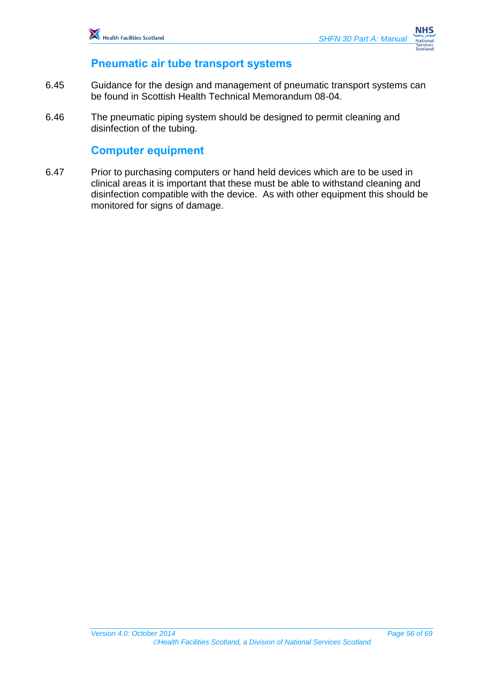

## <span id="page-55-0"></span>**Pneumatic air tube transport systems**

- 6.45 Guidance for the design and management of pneumatic transport systems can be found in Scottish Health Technical Memorandum 08-04.
- 6.46 The pneumatic piping system should be designed to permit cleaning and disinfection of the tubing.

## <span id="page-55-1"></span>**Computer equipment**

6.47 Prior to purchasing computers or hand held devices which are to be used in clinical areas it is important that these must be able to withstand cleaning and disinfection compatible with the device. As with other equipment this should be monitored for signs of damage.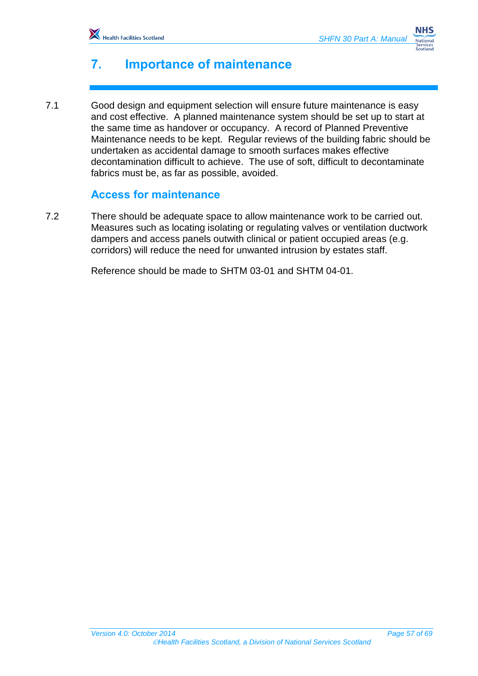

# <span id="page-56-0"></span>**7. Importance of maintenance**

7.1 Good design and equipment selection will ensure future maintenance is easy and cost effective. A planned maintenance system should be set up to start at the same time as handover or occupancy. A record of Planned Preventive Maintenance needs to be kept. Regular reviews of the building fabric should be undertaken as accidental damage to smooth surfaces makes effective decontamination difficult to achieve. The use of soft, difficult to decontaminate fabrics must be, as far as possible, avoided.

## <span id="page-56-1"></span>**Access for maintenance**

7.2 There should be adequate space to allow maintenance work to be carried out. Measures such as locating isolating or regulating valves or ventilation ductwork dampers and access panels outwith clinical or patient occupied areas (e.g. corridors) will reduce the need for unwanted intrusion by estates staff.

Reference should be made to SHTM 03-01 and SHTM 04-01.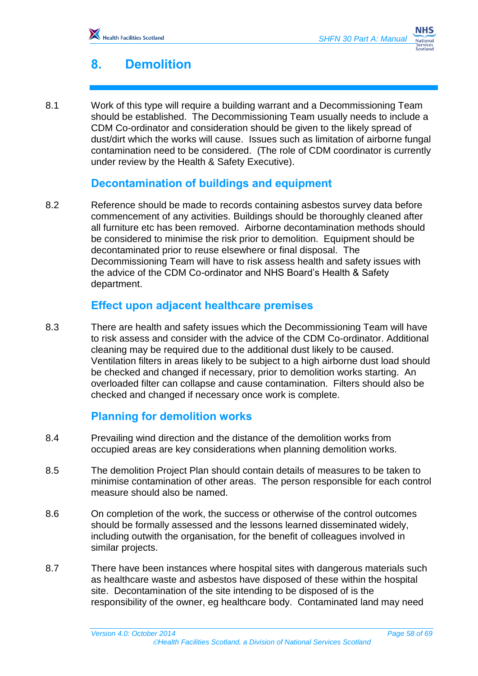# <span id="page-57-0"></span>**8. Demolition**

8.1 Work of this type will require a building warrant and a Decommissioning Team should be established. The Decommissioning Team usually needs to include a CDM Co-ordinator and consideration should be given to the likely spread of dust/dirt which the works will cause. Issues such as limitation of airborne fungal contamination need to be considered. (The role of CDM coordinator is currently under review by the Health & Safety Executive).

## <span id="page-57-1"></span>**Decontamination of buildings and equipment**

8.2 Reference should be made to records containing asbestos survey data before commencement of any activities. Buildings should be thoroughly cleaned after all furniture etc has been removed. Airborne decontamination methods should be considered to minimise the risk prior to demolition. Equipment should be decontaminated prior to reuse elsewhere or final disposal. The Decommissioning Team will have to risk assess health and safety issues with the advice of the CDM Co-ordinator and NHS Board's Health & Safety department.

## <span id="page-57-2"></span>**Effect upon adjacent healthcare premises**

8.3 There are health and safety issues which the Decommissioning Team will have to risk assess and consider with the advice of the CDM Co-ordinator. Additional cleaning may be required due to the additional dust likely to be caused. Ventilation filters in areas likely to be subject to a high airborne dust load should be checked and changed if necessary, prior to demolition works starting. An overloaded filter can collapse and cause contamination. Filters should also be checked and changed if necessary once work is complete.

## <span id="page-57-3"></span>**Planning for demolition works**

- 8.4 Prevailing wind direction and the distance of the demolition works from occupied areas are key considerations when planning demolition works.
- 8.5 The demolition Project Plan should contain details of measures to be taken to minimise contamination of other areas. The person responsible for each control measure should also be named.
- 8.6 On completion of the work, the success or otherwise of the control outcomes should be formally assessed and the lessons learned disseminated widely, including outwith the organisation, for the benefit of colleagues involved in similar projects.
- 8.7 There have been instances where hospital sites with dangerous materials such as healthcare waste and asbestos have disposed of these within the hospital site. Decontamination of the site intending to be disposed of is the responsibility of the owner, eg healthcare body. Contaminated land may need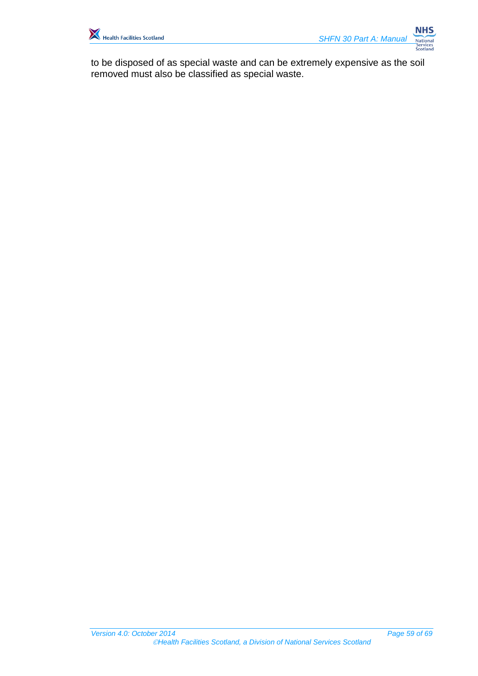

to be disposed of as special waste and can be extremely expensive as the soil removed must also be classified as special waste.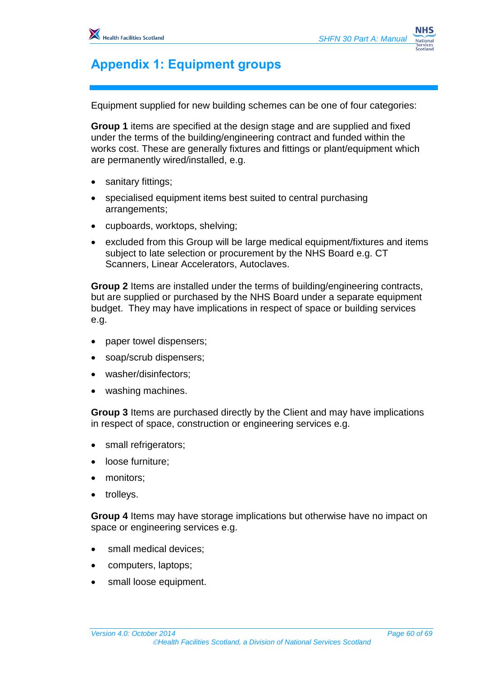# <span id="page-59-0"></span>**Appendix 1: Equipment groups**

Equipment supplied for new building schemes can be one of four categories:

**Group 1** items are specified at the design stage and are supplied and fixed under the terms of the building/engineering contract and funded within the works cost. These are generally fixtures and fittings or plant/equipment which are permanently wired/installed, e.g.

- sanitary fittings;
- specialised equipment items best suited to central purchasing arrangements;
- cupboards, worktops, shelving;
- excluded from this Group will be large medical equipment/fixtures and items subject to late selection or procurement by the NHS Board e.g. CT Scanners, Linear Accelerators, Autoclaves.

**Group 2** Items are installed under the terms of building/engineering contracts, but are supplied or purchased by the NHS Board under a separate equipment budget. They may have implications in respect of space or building services e.g.

- paper towel dispensers;
- soap/scrub dispensers;
- washer/disinfectors;
- washing machines.

**Group 3** Items are purchased directly by the Client and may have implications in respect of space, construction or engineering services e.g.

- small refrigerators;
- loose furniture;
- monitors;
- trolleys.

**Group 4** Items may have storage implications but otherwise have no impact on space or engineering services e.g.

- small medical devices;
- computers, laptops;
- small loose equipment.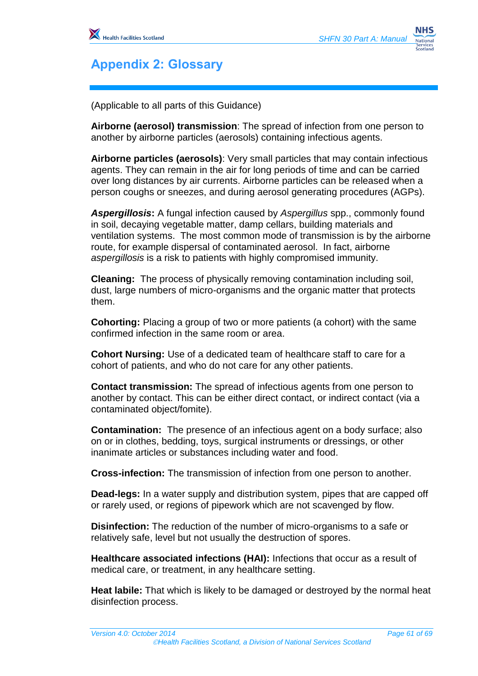

# <span id="page-60-0"></span>**Appendix 2: Glossary**

(Applicable to all parts of this Guidance)

**Airborne (aerosol) transmission**: The spread of infection from one person to another by airborne particles (aerosols) containing infectious agents.

**Airborne particles (aerosols)**: Very small particles that may contain infectious agents. They can remain in the air for long periods of time and can be carried over long distances by air currents. Airborne particles can be released when a person coughs or sneezes, and during aerosol generating procedures (AGPs).

*Aspergillosis***:** A fungal infection caused by *Aspergillus* spp., commonly found in soil, decaying vegetable matter, damp cellars, building materials and ventilation systems. The most common mode of transmission is by the airborne route, for example dispersal of contaminated aerosol. In fact, airborne *aspergillosis* is a risk to patients with highly compromised immunity.

**Cleaning:** The process of physically removing contamination including soil, dust, large numbers of micro-organisms and the organic matter that protects them.

**Cohorting:** Placing a group of two or more patients (a cohort) with the same confirmed infection in the same room or area.

**Cohort Nursing:** Use of a dedicated team of healthcare staff to care for a cohort of patients, and who do not care for any other patients.

**Contact transmission:** The spread of infectious agents from one person to another by contact. This can be either direct contact, or indirect contact (via a contaminated object/fomite).

**Contamination:** The presence of an infectious agent on a body surface; also on or in clothes, bedding, toys, surgical instruments or dressings, or other inanimate articles or substances including water and food.

**Cross-infection:** The transmission of infection from one person to another.

**Dead-legs:** In a water supply and distribution system, pipes that are capped off or rarely used, or regions of pipework which are not scavenged by flow.

**Disinfection:** The reduction of the number of micro-organisms to a safe or relatively safe, level but not usually the destruction of spores.

**Healthcare associated infections (HAI):** Infections that occur as a result of medical care, or treatment, in any healthcare setting.

**Heat labile:** That which is likely to be damaged or destroyed by the normal heat disinfection process.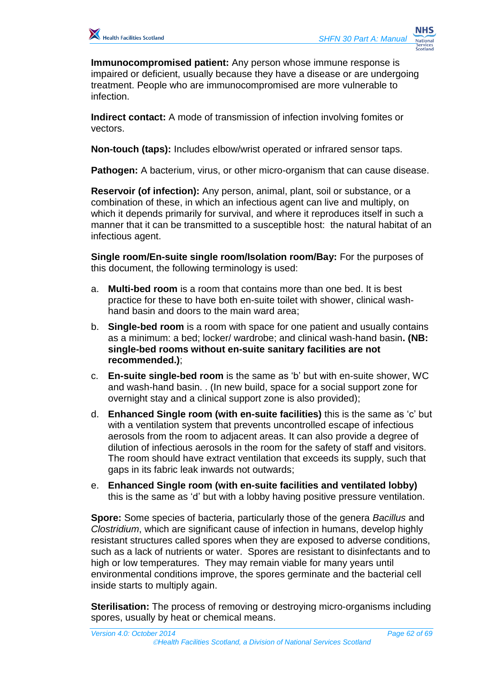**Immunocompromised patient:** Any person whose immune response is impaired or deficient, usually because they have a disease or are undergoing treatment. People who are immunocompromised are more vulnerable to infection.

**Indirect contact:** A mode of transmission of infection involving fomites or vectors.

**Non-touch (taps):** Includes elbow/wrist operated or infrared sensor taps.

**Pathogen:** A bacterium, virus, or other micro-organism that can cause disease.

**Reservoir (of infection):** Any person, animal, plant, soil or substance, or a combination of these, in which an infectious agent can live and multiply, on which it depends primarily for survival, and where it reproduces itself in such a manner that it can be transmitted to a susceptible host: the natural habitat of an infectious agent.

**Single room/En-suite single room/Isolation room/Bay:** For the purposes of this document, the following terminology is used:

- a. **Multi-bed room** is a room that contains more than one bed. It is best practice for these to have both en-suite toilet with shower, clinical washhand basin and doors to the main ward area;
- b. **Single-bed room** is a room with space for one patient and usually contains as a minimum: a bed; locker/ wardrobe; and clinical wash-hand basin**. (NB: single-bed rooms without en-suite sanitary facilities are not recommended.)**;
- c. **En-suite single-bed room** is the same as 'b' but with en-suite shower, WC and wash-hand basin. . (In new build, space for a social support zone for overnight stay and a clinical support zone is also provided);
- d. **Enhanced Single room (with en-suite facilities)** this is the same as 'c' but with a ventilation system that prevents uncontrolled escape of infectious aerosols from the room to adjacent areas. It can also provide a degree of dilution of infectious aerosols in the room for the safety of staff and visitors. The room should have extract ventilation that exceeds its supply, such that gaps in its fabric leak inwards not outwards;
- e. **Enhanced Single room (with en-suite facilities and ventilated lobby)** this is the same as 'd' but with a lobby having positive pressure ventilation.

**Spore:** Some species of bacteria, particularly those of the genera *Bacillus* and *Clostridium*, which are significant cause of infection in humans, develop highly resistant structures called spores when they are exposed to adverse conditions, such as a lack of nutrients or water. Spores are resistant to disinfectants and to high or low temperatures. They may remain viable for many years until environmental conditions improve, the spores germinate and the bacterial cell inside starts to multiply again.

**Sterilisation:** The process of removing or destroying micro-organisms including spores, usually by heat or chemical means.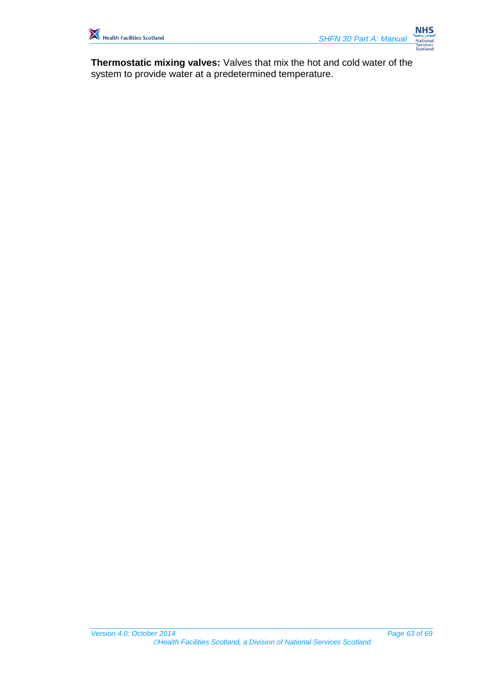

**Thermostatic mixing valves:** Valves that mix the hot and cold water of the system to provide water at a predetermined temperature.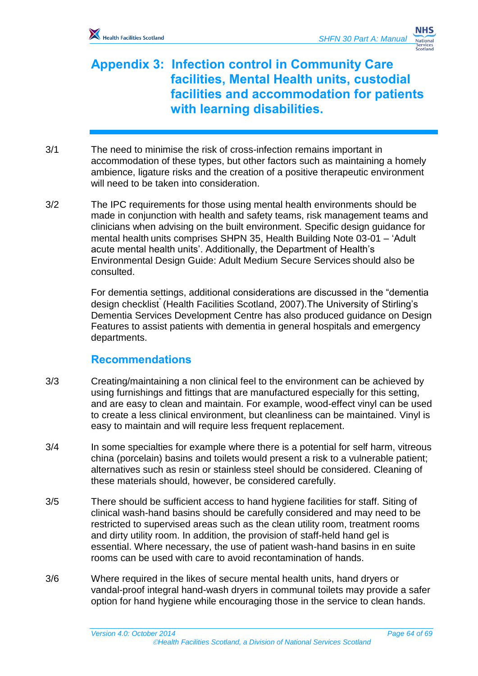# <span id="page-63-0"></span>**Appendix 3: Infection control in Community Care facilities, Mental Health units, custodial facilities and accommodation for patients with learning disabilities.**

- 3/1 The need to minimise the risk of cross-infection remains important in accommodation of these types, but other factors such as maintaining a homely ambience, ligature risks and the creation of a positive therapeutic environment will need to be taken into consideration.
- 3/2 The IPC requirements for those using mental health environments should be made in conjunction with health and safety teams, risk management teams and clinicians when advising on the built environment. Specific design guidance for mental health units comprises SHPN 35, Health Building Note 03-01 – 'Adult acute mental health units'. Additionally, the Department of Health's Environmental Design Guide: Adult Medium Secure Services should also be consulted.

For dementia settings, additional considerations are discussed in the "dementia design checklist" (Health Facilities Scotland, 2007).The University of Stirling's Dementia Services Development Centre has also produced guidance on Design Features to assist patients with dementia in general hospitals and emergency departments.

## **Recommendations**

- 3/3 Creating/maintaining a non clinical feel to the environment can be achieved by using furnishings and fittings that are manufactured especially for this setting, and are easy to clean and maintain. For example, wood-effect vinyl can be used to create a less clinical environment, but cleanliness can be maintained. Vinyl is easy to maintain and will require less frequent replacement.
- 3/4 In some specialties for example where there is a potential for self harm, vitreous china (porcelain) basins and toilets would present a risk to a vulnerable patient; alternatives such as resin or stainless steel should be considered. Cleaning of these materials should, however, be considered carefully.
- 3/5 There should be sufficient access to hand hygiene facilities for staff. Siting of clinical wash-hand basins should be carefully considered and may need to be restricted to supervised areas such as the clean utility room, treatment rooms and dirty utility room. In addition, the provision of staff-held hand gel is essential. Where necessary, the use of patient wash-hand basins in en suite rooms can be used with care to avoid recontamination of hands.
- 3/6 Where required in the likes of secure mental health units, hand dryers or vandal-proof integral hand-wash dryers in communal toilets may provide a safer option for hand hygiene while encouraging those in the service to clean hands.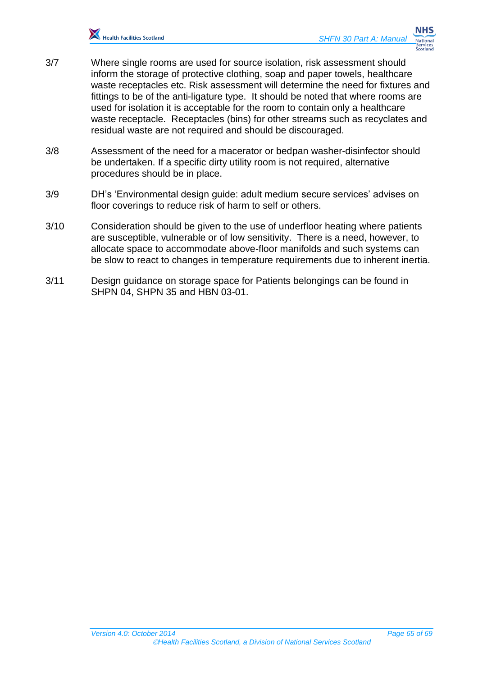

- 3/7 Where single rooms are used for source isolation, risk assessment should inform the storage of protective clothing, soap and paper towels, healthcare waste receptacles etc. Risk assessment will determine the need for fixtures and fittings to be of the anti-ligature type. It should be noted that where rooms are used for isolation it is acceptable for the room to contain only a healthcare waste receptacle. Receptacles (bins) for other streams such as recyclates and residual waste are not required and should be discouraged.
- 3/8 Assessment of the need for a macerator or bedpan washer-disinfector should be undertaken. If a specific dirty utility room is not required, alternative procedures should be in place.
- 3/9 DH's 'Environmental design guide: adult medium secure services' advises on floor coverings to reduce risk of harm to self or others.
- 3/10 Consideration should be given to the use of underfloor heating where patients are susceptible, vulnerable or of low sensitivity. There is a need, however, to allocate space to accommodate above-floor manifolds and such systems can be slow to react to changes in temperature requirements due to inherent inertia.
- <span id="page-64-0"></span>3/11 Design guidance on storage space for Patients belongings can be found in SHPN 04, SHPN 35 and HBN 03-01.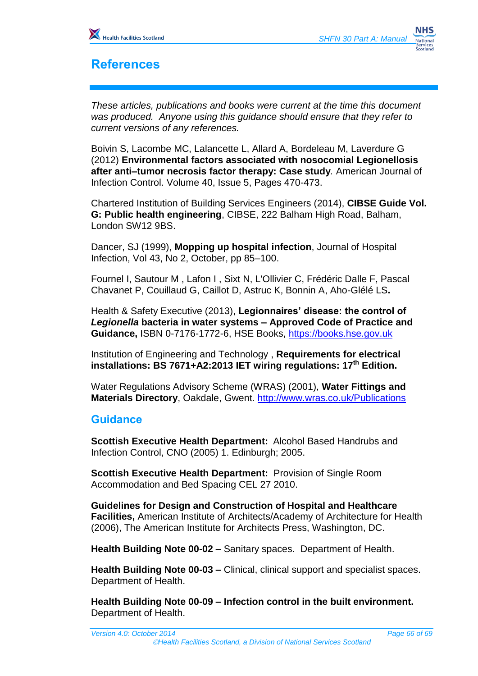

# <span id="page-65-0"></span>**References**

*These articles, publications and books were current at the time this document was produced. Anyone using this guidance should ensure that they refer to current versions of any references.*

Boivin S, Lacombe MC, Lalancette L, Allard A, Bordeleau M, Laverdure G (2012) **[Environmental factors associated with nosocomial Legionellosis](http://www.sciencedirect.com/science/article/pii/S0196655311008388) [after anti–tumor necrosis factor therapy: Case study](http://www.sciencedirect.com/science/article/pii/S0196655311008388)***.* American Journal of Infection Control. Volume 40, Issue 5, Pages 470-473.

Chartered Institution of Building Services Engineers (2014), **CIBSE Guide Vol. G: Public health engineering**, CIBSE, 222 Balham High Road, Balham, London SW12 9BS.

Dancer, SJ (1999), **Mopping up hospital infection**, Journal of Hospital Infection, Vol 43, No 2, October, pp 85–100.

Fournel I, Sautour M , Lafon I , Sixt N, L'Ollivier C, Frédéric Dalle F, Pascal Chavanet P, Couillaud G, Caillot D, Astruc K, Bonnin A, Aho-Glélé LS**.** 

Health & Safety Executive (2013), **Legionnaires' disease: the control of**  *Legionella* **bacteria in water systems – Approved Code of Practice and Guidance,** ISBN 0-7176-1772-6, HSE Books, [https://books.hse.gov.uk](https://books.hse.gov.uk/)

Institution of Engineering and Technology , **Requirements for electrical installations: BS 7671+A2:2013 IET wiring regulations: 17th Edition.**

Water Regulations Advisory Scheme (WRAS) (2001), **Water Fittings and Materials Directory**, Oakdale, Gwent.<http://www.wras.co.uk/Publications>

## **Guidance**

**Scottish Executive Health Department:** Alcohol Based Handrubs and Infection Control, CNO (2005) 1. Edinburgh; 2005.

**Scottish Executive Health Department:** Provision of Single Room Accommodation and Bed Spacing CEL 27 2010.

**Guidelines for Design and Construction of Hospital and Healthcare Facilities,** American Institute of Architects/Academy of Architecture for Health (2006), The American Institute for Architects Press, Washington, DC.

**Health Building Note 00-02 –** Sanitary spaces.Department of Health.

**Health Building Note 00-03 –** Clinical, clinical support and specialist spaces. Department of Health.

**Health Building Note 00-09 – Infection control in the built environment.**  Department of Health.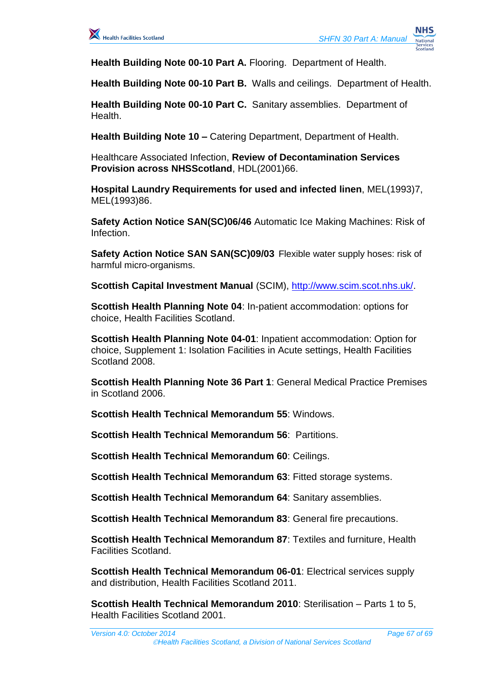

**Health Building Note 00-10 Part A.** Flooring. Department of Health.

**Health Building Note 00-10 Part B.** Walls and ceilings. Department of Health.

**Health Building Note 00-10 Part C.** Sanitary assemblies. Department of Health.

**Health Building Note 10 –** Catering Department, Department of Health.

Healthcare Associated Infection, **Review of Decontamination Services Provision across NHSScotland**, HDL(2001)66.

**Hospital Laundry Requirements for used and infected linen**, MEL(1993)7, MEL(1993)86.

**Safety Action Notice SAN(SC)06/46** Automatic Ice Making Machines: Risk of Infection.

**Safety Action Notice SAN SAN(SC)09/03** Flexible water supply hoses: risk of harmful micro-organisms.

**Scottish Capital Investment Manual** (SCIM), [http://www.scim.scot.nhs.uk/.](http://www.scim.scot.nhs.uk/)

**Scottish Health Planning Note 04**: In-patient accommodation: options for choice, Health Facilities Scotland.

**Scottish Health Planning Note 04-01**: Inpatient accommodation: Option for choice, Supplement 1: Isolation Facilities in Acute settings, Health Facilities Scotland 2008.

**Scottish Health Planning Note 36 Part 1**: General Medical Practice Premises in Scotland 2006.

**Scottish Health Technical Memorandum 55**: Windows.

**Scottish Health Technical Memorandum 56**: Partitions.

**Scottish Health Technical Memorandum 60**: Ceilings.

**Scottish Health Technical Memorandum 63**: Fitted storage systems.

**Scottish Health Technical Memorandum 64**: Sanitary assemblies.

**Scottish Health Technical Memorandum 83**: General fire precautions.

**Scottish Health Technical Memorandum 87**: Textiles and furniture, Health Facilities Scotland.

**Scottish Health Technical Memorandum 06-01**: Electrical services supply and distribution, Health Facilities Scotland 2011.

**Scottish Health Technical Memorandum 2010**: Sterilisation – Parts 1 to 5, Health Facilities Scotland 2001.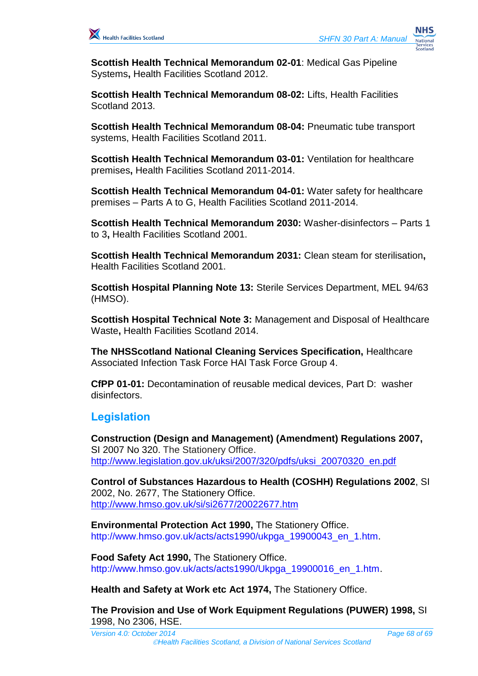

**Scottish Health Technical Memorandum 02-01**: Medical Gas Pipeline Systems**,** Health Facilities Scotland 2012.

**Scottish Health Technical Memorandum 08-02:** Lifts, Health Facilities Scotland 2013.

**Scottish Health Technical Memorandum 08-04:** Pneumatic tube transport systems, Health Facilities Scotland 2011.

**Scottish Health Technical Memorandum 03-01:** Ventilation for healthcare premises**,** Health Facilities Scotland 2011-2014.

**Scottish Health Technical Memorandum 04-01:** Water safety for healthcare premises – Parts A to G, Health Facilities Scotland 2011-2014.

**Scottish Health Technical Memorandum 2030:** Washer-disinfectors – Parts 1 to 3**,** Health Facilities Scotland 2001.

**Scottish Health Technical Memorandum 2031:** Clean steam for sterilisation**,**  Health Facilities Scotland 2001.

**Scottish Hospital Planning Note 13:** Sterile Services Department, MEL 94/63 (HMSO).

**Scottish Hospital Technical Note 3:** Management and Disposal of Healthcare Waste**,** Health Facilities Scotland 2014.

**The NHSScotland National Cleaning Services Specification,** Healthcare Associated Infection Task Force HAI Task Force Group 4.

**CfPP 01-01:** Decontamination of reusable medical devices, Part D: washer disinfectors.

## **Legislation**

**Construction (Design and Management) (Amendment) Regulations 2007,** SI 2007 No 320. The Stationery Office. [http://www.legislation.gov.uk/uksi/2007/320/pdfs/uksi\\_20070320\\_en.pdf](http://www.legislation.gov.uk/uksi/2007/320/pdfs/uksi_20070320_en.pdf)

**Control of Substances Hazardous to Health (COSHH) Regulations 2002**, SI 2002, No. 2677, The Stationery Office. <http://www.hmso.gov.uk/si/si2677/20022677.htm>

**Environmental Protection Act 1990,** The Stationery Office. [http://www.hmso.gov.uk/acts/acts1990/ukpga\\_19900043\\_en\\_1.htm.](http://www.hmso.gov.uk/acts/acts1990/ukpga_19900043_en_1.htm)

**Food Safety Act 1990,** The Stationery Office. [http://www.hmso.gov.uk/acts/acts1990/Ukpga\\_19900016\\_en\\_1.htm.](http://www.hmso.gov.uk/acts/acts1990/Ukpga_19900016_en_1.htm)

**Health and Safety at Work etc Act 1974,** The Stationery Office.

**The Provision and Use of Work Equipment Regulations (PUWER) 1998,** SI 1998, No 2306, HSE.